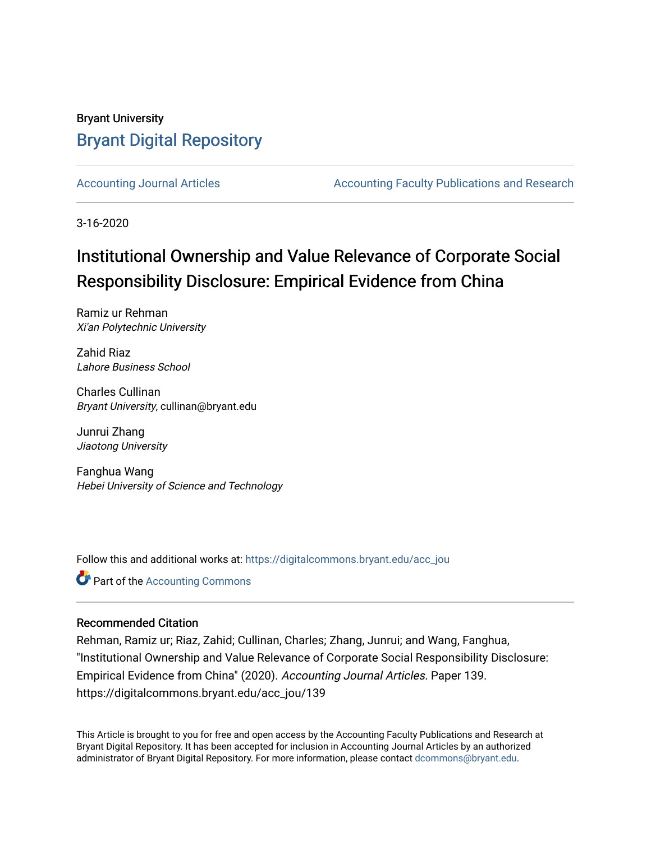# Bryant University [Bryant Digital Repository](https://digitalcommons.bryant.edu/)

[Accounting Journal Articles](https://digitalcommons.bryant.edu/acc_jou) **Accounting Faculty Publications and Research** Accounting Faculty Publications and Research

3-16-2020

# Institutional Ownership and Value Relevance of Corporate Social Responsibility Disclosure: Empirical Evidence from China

Ramiz ur Rehman Xi'an Polytechnic University

Zahid Riaz Lahore Business School

Charles Cullinan Bryant University, cullinan@bryant.edu

Junrui Zhang Jiaotong University

Fanghua Wang Hebei University of Science and Technology

Follow this and additional works at: [https://digitalcommons.bryant.edu/acc\\_jou](https://digitalcommons.bryant.edu/acc_jou?utm_source=digitalcommons.bryant.edu%2Facc_jou%2F139&utm_medium=PDF&utm_campaign=PDFCoverPages)

**C** Part of the [Accounting Commons](http://network.bepress.com/hgg/discipline/625?utm_source=digitalcommons.bryant.edu%2Facc_jou%2F139&utm_medium=PDF&utm_campaign=PDFCoverPages)

# Recommended Citation

Rehman, Ramiz ur; Riaz, Zahid; Cullinan, Charles; Zhang, Junrui; and Wang, Fanghua, "Institutional Ownership and Value Relevance of Corporate Social Responsibility Disclosure: Empirical Evidence from China" (2020). Accounting Journal Articles. Paper 139. https://digitalcommons.bryant.edu/acc\_jou/139

This Article is brought to you for free and open access by the Accounting Faculty Publications and Research at Bryant Digital Repository. It has been accepted for inclusion in Accounting Journal Articles by an authorized administrator of Bryant Digital Repository. For more information, please contact [dcommons@bryant.edu](mailto:dcommons@bryant.edu).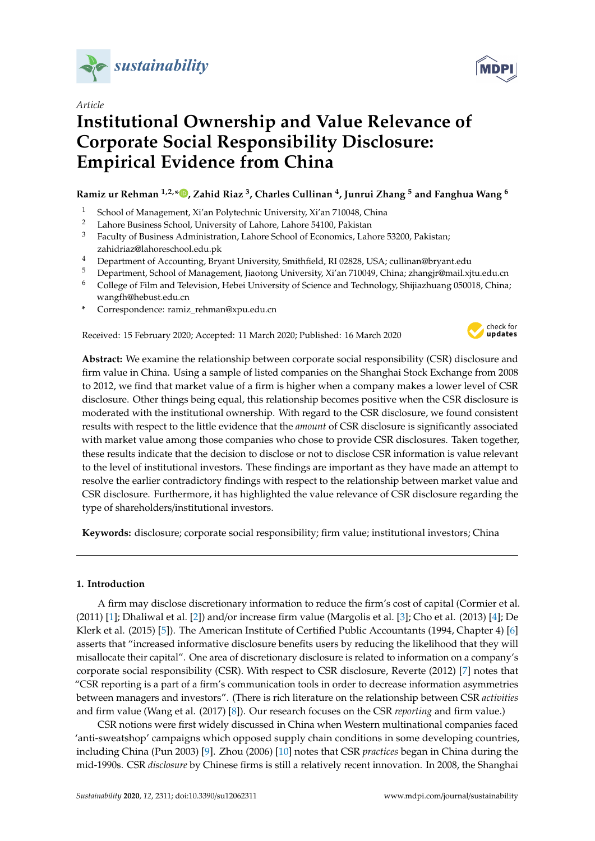

*Article*

# **Institutional Ownership and Value Relevance of Corporate Social Responsibility Disclosure: Empirical Evidence from China**

# **Ramiz ur Rehman 1,2,[\\*](https://orcid.org/0000-0001-6019-4781) , Zahid Riaz <sup>3</sup> , Charles Cullinan <sup>4</sup> , Junrui Zhang <sup>5</sup> and Fanghua Wang <sup>6</sup>**

- <sup>1</sup> School of Management, Xi'an Polytechnic University, Xi'an 710048, China<br><sup>2</sup> Labora Business School University of Labora Labora 54100, Bakistan
- <sup>2</sup> Lahore Business School, University of Lahore, Lahore 54100, Pakistan
- <sup>3</sup> Faculty of Business Administration, Lahore School of Economics, Lahore 53200, Pakistan; zahidriaz@lahoreschool.edu.pk
- <sup>4</sup> Department of Accounting, Bryant University, Smithfield, RI 02828, USA; cullinan@bryant.edu
- <sup>5</sup> Department, School of Management, Jiaotong University, Xi'an 710049, China; zhangjr@mail.xjtu.edu.cn
- <sup>6</sup> College of Film and Television, Hebei University of Science and Technology, Shijiazhuang 050018, China; wangfh@hebust.edu.cn
- **\*** Correspondence: ramiz\_rehman@xpu.edu.cn

Received: 15 February 2020; Accepted: 11 March 2020; Published: 16 March 2020



**Abstract:** We examine the relationship between corporate social responsibility (CSR) disclosure and firm value in China. Using a sample of listed companies on the Shanghai Stock Exchange from 2008 to 2012, we find that market value of a firm is higher when a company makes a lower level of CSR disclosure. Other things being equal, this relationship becomes positive when the CSR disclosure is moderated with the institutional ownership. With regard to the CSR disclosure, we found consistent results with respect to the little evidence that the *amount* of CSR disclosure is significantly associated with market value among those companies who chose to provide CSR disclosures. Taken together, these results indicate that the decision to disclose or not to disclose CSR information is value relevant to the level of institutional investors. These findings are important as they have made an attempt to resolve the earlier contradictory findings with respect to the relationship between market value and CSR disclosure. Furthermore, it has highlighted the value relevance of CSR disclosure regarding the type of shareholders/institutional investors.

**Keywords:** disclosure; corporate social responsibility; firm value; institutional investors; China

# **1. Introduction**

A firm may disclose discretionary information to reduce the firm's cost of capital (Cormier et al. (2011) [\[1\]](#page-14-0); Dhaliwal et al. [\[2\]](#page-15-0)) and/or increase firm value (Margolis et al. [\[3\]](#page-15-1); Cho et al. (2013) [\[4\]](#page-15-2); De Klerk et al. (2015) [\[5\]](#page-15-3)). The American Institute of Certified Public Accountants (1994, Chapter 4) [\[6\]](#page-15-4) asserts that "increased informative disclosure benefits users by reducing the likelihood that they will misallocate their capital". One area of discretionary disclosure is related to information on a company's corporate social responsibility (CSR). With respect to CSR disclosure, Reverte (2012) [\[7\]](#page-15-5) notes that "CSR reporting is a part of a firm's communication tools in order to decrease information asymmetries between managers and investors". (There is rich literature on the relationship between CSR *activities* and firm value (Wang et al. (2017) [\[8\]](#page-15-6)). Our research focuses on the CSR *reporting* and firm value.)

CSR notions were first widely discussed in China when Western multinational companies faced 'anti-sweatshop' campaigns which opposed supply chain conditions in some developing countries, including China (Pun 2003) [\[9\]](#page-15-7). Zhou (2006) [\[10\]](#page-15-8) notes that CSR *practices* began in China during the mid-1990s. CSR *disclosure* by Chinese firms is still a relatively recent innovation. In 2008, the Shanghai

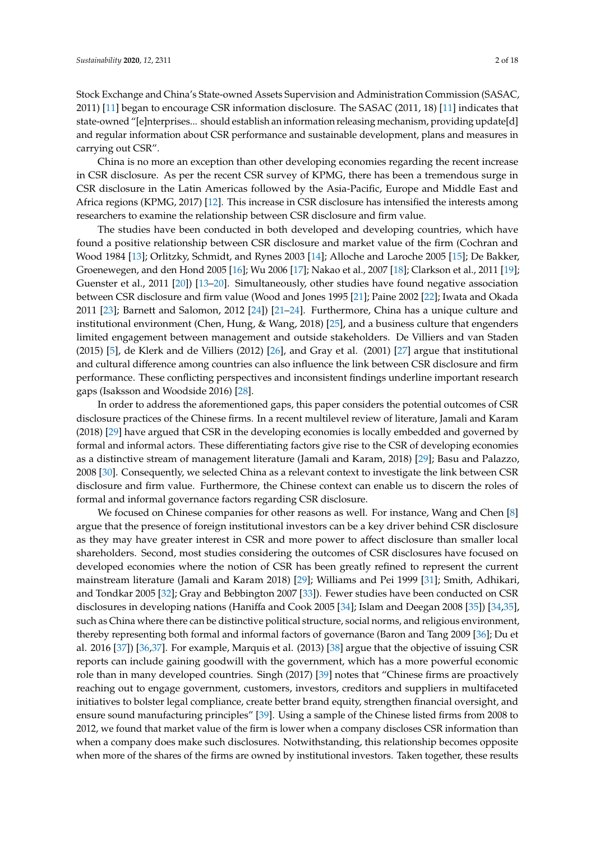Stock Exchange and China's State-owned Assets Supervision and Administration Commission (SASAC, 2011) [\[11\]](#page-15-9) began to encourage CSR information disclosure. The SASAC (2011, 18) [\[11\]](#page-15-9) indicates that state-owned "[e]nterprises... should establish an information releasing mechanism, providing update[d] and regular information about CSR performance and sustainable development, plans and measures in carrying out CSR".

China is no more an exception than other developing economies regarding the recent increase in CSR disclosure. As per the recent CSR survey of KPMG, there has been a tremendous surge in CSR disclosure in the Latin Americas followed by the Asia-Pacific, Europe and Middle East and Africa regions (KPMG, 2017) [\[12\]](#page-15-10). This increase in CSR disclosure has intensified the interests among researchers to examine the relationship between CSR disclosure and firm value.

The studies have been conducted in both developed and developing countries, which have found a positive relationship between CSR disclosure and market value of the firm (Cochran and Wood 1984 [\[13\]](#page-15-11); Orlitzky, Schmidt, and Rynes 2003 [\[14\]](#page-15-12); Alloche and Laroche 2005 [\[15\]](#page-15-13); De Bakker, Groenewegen, and den Hond 2005 [\[16\]](#page-15-14); Wu 2006 [\[17\]](#page-15-15); Nakao et al., 2007 [\[18\]](#page-15-16); Clarkson et al., 2011 [\[19\]](#page-15-17); Guenster et al., 2011 [\[20\]](#page-15-18)) [\[13–](#page-15-11)[20\]](#page-15-18). Simultaneously, other studies have found negative association between CSR disclosure and firm value (Wood and Jones 1995 [\[21\]](#page-15-19); Paine 2002 [\[22\]](#page-15-20); Iwata and Okada 2011 [\[23\]](#page-15-21); Barnett and Salomon, 2012 [\[24\]](#page-15-22)) [\[21–](#page-15-19)[24\]](#page-15-22). Furthermore, China has a unique culture and institutional environment (Chen, Hung, & Wang, 2018) [\[25\]](#page-15-23), and a business culture that engenders limited engagement between management and outside stakeholders. De Villiers and van Staden (2015) [\[5\]](#page-15-3), de Klerk and de Villiers (2012) [\[26\]](#page-16-0), and Gray et al. (2001) [\[27\]](#page-16-1) argue that institutional and cultural difference among countries can also influence the link between CSR disclosure and firm performance. These conflicting perspectives and inconsistent findings underline important research gaps (Isaksson and Woodside 2016) [\[28\]](#page-16-2).

In order to address the aforementioned gaps, this paper considers the potential outcomes of CSR disclosure practices of the Chinese firms. In a recent multilevel review of literature, Jamali and Karam (2018) [\[29\]](#page-16-3) have argued that CSR in the developing economies is locally embedded and governed by formal and informal actors. These differentiating factors give rise to the CSR of developing economies as a distinctive stream of management literature (Jamali and Karam, 2018) [\[29\]](#page-16-3); Basu and Palazzo, 2008 [\[30\]](#page-16-4). Consequently, we selected China as a relevant context to investigate the link between CSR disclosure and firm value. Furthermore, the Chinese context can enable us to discern the roles of formal and informal governance factors regarding CSR disclosure.

We focused on Chinese companies for other reasons as well. For instance, Wang and Chen [\[8\]](#page-15-6) argue that the presence of foreign institutional investors can be a key driver behind CSR disclosure as they may have greater interest in CSR and more power to affect disclosure than smaller local shareholders. Second, most studies considering the outcomes of CSR disclosures have focused on developed economies where the notion of CSR has been greatly refined to represent the current mainstream literature (Jamali and Karam 2018) [\[29\]](#page-16-3); Williams and Pei 1999 [\[31\]](#page-16-5); Smith, Adhikari, and Tondkar 2005 [\[32\]](#page-16-6); Gray and Bebbington 2007 [\[33\]](#page-16-7)). Fewer studies have been conducted on CSR disclosures in developing nations (Haniffa and Cook 2005 [\[34\]](#page-16-8); Islam and Deegan 2008 [\[35\]](#page-16-9)) [\[34,](#page-16-8)[35\]](#page-16-9), such as China where there can be distinctive political structure, social norms, and religious environment, thereby representing both formal and informal factors of governance (Baron and Tang 2009 [\[36\]](#page-16-10); Du et al. 2016 [\[37\]](#page-16-11)) [\[36](#page-16-10)[,37\]](#page-16-11). For example, Marquis et al. (2013) [\[38\]](#page-16-12) argue that the objective of issuing CSR reports can include gaining goodwill with the government, which has a more powerful economic role than in many developed countries. Singh (2017) [\[39\]](#page-16-13) notes that "Chinese firms are proactively reaching out to engage government, customers, investors, creditors and suppliers in multifaceted initiatives to bolster legal compliance, create better brand equity, strengthen financial oversight, and ensure sound manufacturing principles" [\[39\]](#page-16-13). Using a sample of the Chinese listed firms from 2008 to 2012, we found that market value of the firm is lower when a company discloses CSR information than when a company does make such disclosures. Notwithstanding, this relationship becomes opposite when more of the shares of the firms are owned by institutional investors. Taken together, these results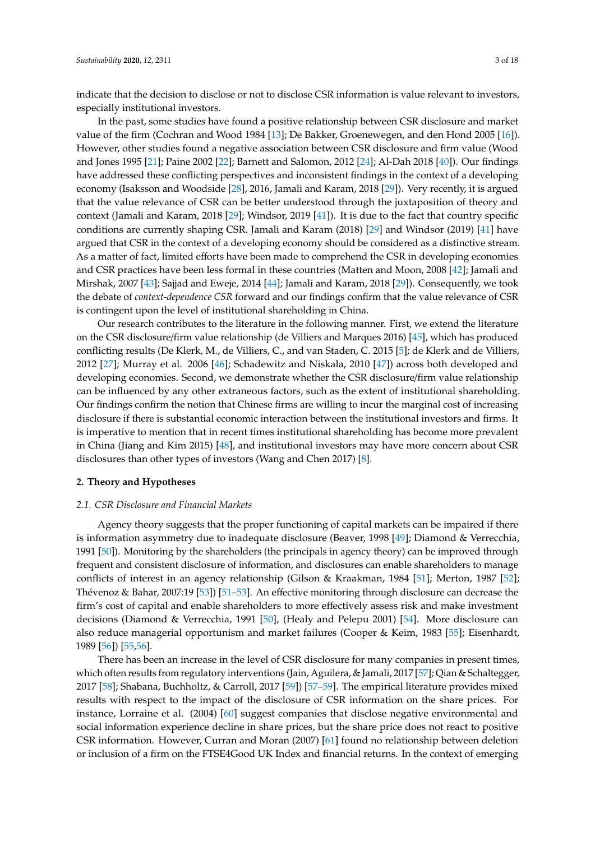indicate that the decision to disclose or not to disclose CSR information is value relevant to investors, especially institutional investors.

In the past, some studies have found a positive relationship between CSR disclosure and market value of the firm (Cochran and Wood 1984 [\[13\]](#page-15-11); De Bakker, Groenewegen, and den Hond 2005 [\[16\]](#page-15-14)). However, other studies found a negative association between CSR disclosure and firm value (Wood and Jones 1995 [\[21\]](#page-15-19); Paine 2002 [\[22\]](#page-15-20); Barnett and Salomon, 2012 [\[24\]](#page-15-22); Al-Dah 2018 [\[40\]](#page-16-14)). Our findings have addressed these conflicting perspectives and inconsistent findings in the context of a developing economy (Isaksson and Woodside [\[28\]](#page-16-2), 2016, Jamali and Karam, 2018 [\[29\]](#page-16-3)). Very recently, it is argued that the value relevance of CSR can be better understood through the juxtaposition of theory and context (Jamali and Karam, 2018 [\[29\]](#page-16-3); Windsor, 2019 [\[41\]](#page-16-15)). It is due to the fact that country specific conditions are currently shaping CSR. Jamali and Karam (2018) [\[29\]](#page-16-3) and Windsor (2019) [\[41\]](#page-16-15) have argued that CSR in the context of a developing economy should be considered as a distinctive stream. As a matter of fact, limited efforts have been made to comprehend the CSR in developing economies and CSR practices have been less formal in these countries (Matten and Moon, 2008 [\[42\]](#page-16-16); Jamali and Mirshak, 2007 [\[43\]](#page-16-17); Sajjad and Eweje, 2014 [\[44\]](#page-16-18); Jamali and Karam, 2018 [\[29\]](#page-16-3)). Consequently, we took the debate of *context-dependence CSR* forward and our findings confirm that the value relevance of CSR is contingent upon the level of institutional shareholding in China.

Our research contributes to the literature in the following manner. First, we extend the literature on the CSR disclosure/firm value relationship (de Villiers and Marques 2016) [\[45\]](#page-16-19), which has produced conflicting results (De Klerk, M., de Villiers, C., and van Staden, C. 2015 [\[5\]](#page-15-3); de Klerk and de Villiers, 2012 [\[27\]](#page-16-1); Murray et al. 2006 [\[46\]](#page-16-20); Schadewitz and Niskala, 2010 [\[47\]](#page-16-21)) across both developed and developing economies. Second, we demonstrate whether the CSR disclosure/firm value relationship can be influenced by any other extraneous factors, such as the extent of institutional shareholding. Our findings confirm the notion that Chinese firms are willing to incur the marginal cost of increasing disclosure if there is substantial economic interaction between the institutional investors and firms. It is imperative to mention that in recent times institutional shareholding has become more prevalent in China (Jiang and Kim 2015) [\[48\]](#page-17-0), and institutional investors may have more concern about CSR disclosures than other types of investors (Wang and Chen 2017) [\[8\]](#page-15-6).

# **2. Theory and Hypotheses**

### *2.1. CSR Disclosure and Financial Markets*

Agency theory suggests that the proper functioning of capital markets can be impaired if there is information asymmetry due to inadequate disclosure (Beaver, 1998 [\[49\]](#page-17-1); Diamond & Verrecchia, 1991 [\[50\]](#page-17-2)). Monitoring by the shareholders (the principals in agency theory) can be improved through frequent and consistent disclosure of information, and disclosures can enable shareholders to manage conflicts of interest in an agency relationship (Gilson & Kraakman, 1984 [\[51\]](#page-17-3); Merton, 1987 [\[52\]](#page-17-4); Thévenoz & Bahar, 2007:19 [\[53\]](#page-17-5)) [\[51–](#page-17-3)[53\]](#page-17-5). An effective monitoring through disclosure can decrease the firm's cost of capital and enable shareholders to more effectively assess risk and make investment decisions (Diamond & Verrecchia, 1991 [\[50\]](#page-17-2), (Healy and Pelepu 2001) [\[54\]](#page-17-6). More disclosure can also reduce managerial opportunism and market failures (Cooper & Keim, 1983 [\[55\]](#page-17-7); Eisenhardt, 1989 [\[56\]](#page-17-8)) [\[55,](#page-17-7)[56\]](#page-17-8).

There has been an increase in the level of CSR disclosure for many companies in present times, which often results from regulatory interventions (Jain, Aguilera, & Jamali, 2017 [\[57\]](#page-17-9); Qian & Schaltegger, 2017 [\[58\]](#page-17-10); Shabana, Buchholtz, & Carroll, 2017 [\[59\]](#page-17-11)) [\[57](#page-17-9)[–59\]](#page-17-11). The empirical literature provides mixed results with respect to the impact of the disclosure of CSR information on the share prices. For instance, Lorraine et al. (2004) [\[60\]](#page-17-12) suggest companies that disclose negative environmental and social information experience decline in share prices, but the share price does not react to positive CSR information. However, Curran and Moran (2007) [\[61\]](#page-17-13) found no relationship between deletion or inclusion of a firm on the FTSE4Good UK Index and financial returns. In the context of emerging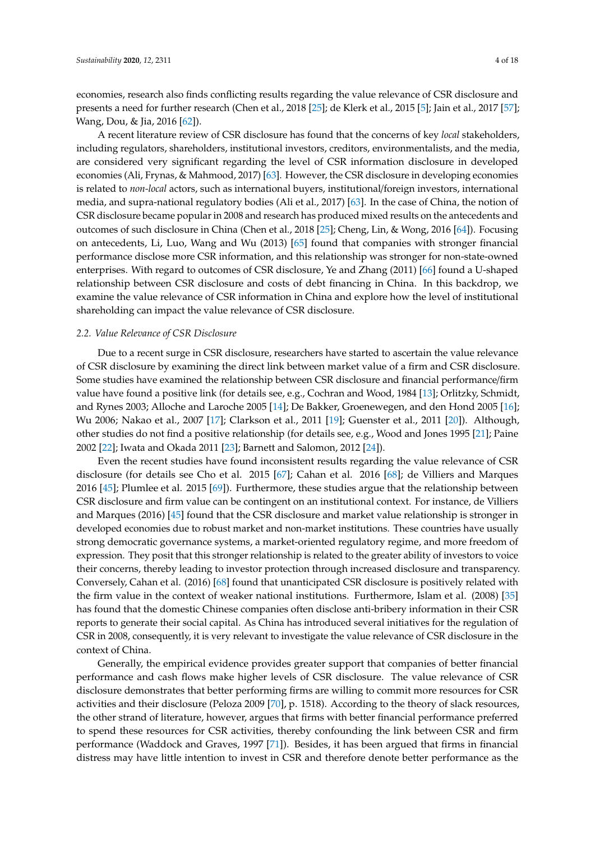economies, research also finds conflicting results regarding the value relevance of CSR disclosure and presents a need for further research (Chen et al., 2018 [\[25\]](#page-15-23); de Klerk et al., 2015 [\[5\]](#page-15-3); Jain et al., 2017 [\[57\]](#page-17-9); Wang, Dou, & Jia, 2016 [\[62\]](#page-17-14)).

A recent literature review of CSR disclosure has found that the concerns of key *local* stakeholders, including regulators, shareholders, institutional investors, creditors, environmentalists, and the media, are considered very significant regarding the level of CSR information disclosure in developed economies (Ali, Frynas, & Mahmood, 2017) [\[63\]](#page-17-15). However, the CSR disclosure in developing economies is related to *non-local* actors, such as international buyers, institutional/foreign investors, international media, and supra-national regulatory bodies (Ali et al., 2017) [\[63\]](#page-17-15). In the case of China, the notion of CSR disclosure became popular in 2008 and research has produced mixed results on the antecedents and outcomes of such disclosure in China (Chen et al., 2018 [\[25\]](#page-15-23); Cheng, Lin, & Wong, 2016 [\[64\]](#page-17-16)). Focusing on antecedents, Li, Luo, Wang and Wu (2013) [\[65\]](#page-17-17) found that companies with stronger financial performance disclose more CSR information, and this relationship was stronger for non-state-owned enterprises. With regard to outcomes of CSR disclosure, Ye and Zhang (2011) [\[66\]](#page-17-18) found a U-shaped relationship between CSR disclosure and costs of debt financing in China. In this backdrop, we examine the value relevance of CSR information in China and explore how the level of institutional shareholding can impact the value relevance of CSR disclosure.

# *2.2. Value Relevance of CSR Disclosure*

Due to a recent surge in CSR disclosure, researchers have started to ascertain the value relevance of CSR disclosure by examining the direct link between market value of a firm and CSR disclosure. Some studies have examined the relationship between CSR disclosure and financial performance/firm value have found a positive link (for details see, e.g., Cochran and Wood, 1984 [\[13\]](#page-15-11); Orlitzky, Schmidt, and Rynes 2003; Alloche and Laroche 2005 [\[14\]](#page-15-12); De Bakker, Groenewegen, and den Hond 2005 [\[16\]](#page-15-14); Wu 2006; Nakao et al., 2007 [\[17\]](#page-15-15); Clarkson et al., 2011 [\[19\]](#page-15-17); Guenster et al., 2011 [\[20\]](#page-15-18)). Although, other studies do not find a positive relationship (for details see, e.g., Wood and Jones 1995 [\[21\]](#page-15-19); Paine 2002 [\[22\]](#page-15-20); Iwata and Okada 2011 [\[23\]](#page-15-21); Barnett and Salomon, 2012 [\[24\]](#page-15-22)).

Even the recent studies have found inconsistent results regarding the value relevance of CSR disclosure (for details see Cho et al. 2015 [\[67\]](#page-17-19); Cahan et al. 2016 [\[68\]](#page-17-20); de Villiers and Marques 2016 [\[45\]](#page-16-19); Plumlee et al. 2015 [\[69\]](#page-17-21)). Furthermore, these studies argue that the relationship between CSR disclosure and firm value can be contingent on an institutional context. For instance, de Villiers and Marques (2016) [\[45\]](#page-16-19) found that the CSR disclosure and market value relationship is stronger in developed economies due to robust market and non-market institutions. These countries have usually strong democratic governance systems, a market-oriented regulatory regime, and more freedom of expression. They posit that this stronger relationship is related to the greater ability of investors to voice their concerns, thereby leading to investor protection through increased disclosure and transparency. Conversely, Cahan et al. (2016) [\[68\]](#page-17-20) found that unanticipated CSR disclosure is positively related with the firm value in the context of weaker national institutions. Furthermore, Islam et al. (2008) [\[35\]](#page-16-9) has found that the domestic Chinese companies often disclose anti-bribery information in their CSR reports to generate their social capital. As China has introduced several initiatives for the regulation of CSR in 2008, consequently, it is very relevant to investigate the value relevance of CSR disclosure in the context of China.

Generally, the empirical evidence provides greater support that companies of better financial performance and cash flows make higher levels of CSR disclosure. The value relevance of CSR disclosure demonstrates that better performing firms are willing to commit more resources for CSR activities and their disclosure (Peloza 2009 [\[70\]](#page-17-22), p. 1518). According to the theory of slack resources, the other strand of literature, however, argues that firms with better financial performance preferred to spend these resources for CSR activities, thereby confounding the link between CSR and firm performance (Waddock and Graves, 1997 [\[71\]](#page-17-23)). Besides, it has been argued that firms in financial distress may have little intention to invest in CSR and therefore denote better performance as the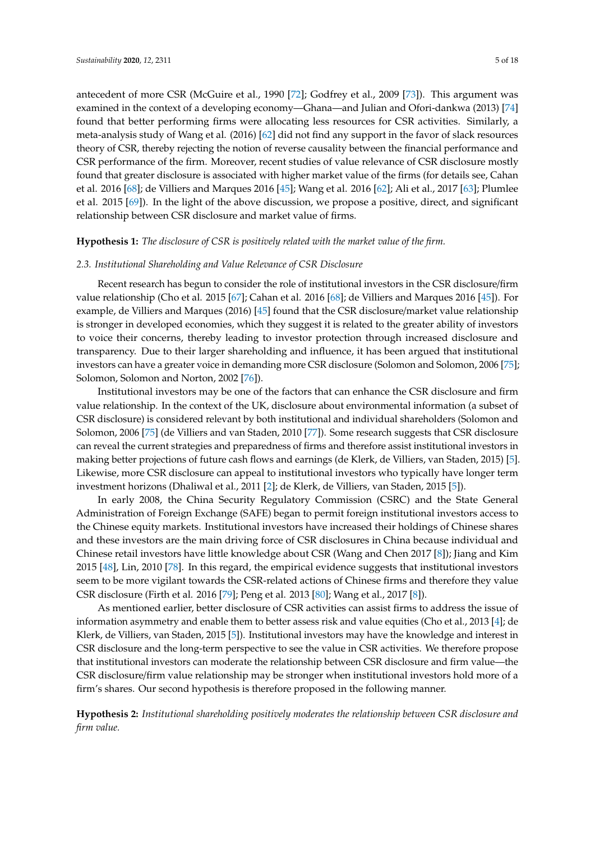antecedent of more CSR (McGuire et al., 1990 [\[72\]](#page-17-24); Godfrey et al., 2009 [\[73\]](#page-17-25)). This argument was examined in the context of a developing economy—Ghana—and Julian and Ofori-dankwa (2013) [\[74\]](#page-18-0) found that better performing firms were allocating less resources for CSR activities. Similarly, a meta-analysis study of Wang et al. (2016) [\[62\]](#page-17-14) did not find any support in the favor of slack resources theory of CSR, thereby rejecting the notion of reverse causality between the financial performance and CSR performance of the firm. Moreover, recent studies of value relevance of CSR disclosure mostly found that greater disclosure is associated with higher market value of the firms (for details see, Cahan et al. 2016 [\[68\]](#page-17-20); de Villiers and Marques 2016 [\[45\]](#page-16-19); Wang et al. 2016 [\[62\]](#page-17-14); Ali et al., 2017 [\[63\]](#page-17-15); Plumlee et al. 2015 [\[69\]](#page-17-21)). In the light of the above discussion, we propose a positive, direct, and significant relationship between CSR disclosure and market value of firms.

# **Hypothesis 1:** *The disclosure of CSR is positively related with the market value of the firm.*

#### *2.3. Institutional Shareholding and Value Relevance of CSR Disclosure*

Recent research has begun to consider the role of institutional investors in the CSR disclosure/firm value relationship (Cho et al. 2015 [\[67\]](#page-17-19); Cahan et al. 2016 [\[68\]](#page-17-20); de Villiers and Marques 2016 [\[45\]](#page-16-19)). For example, de Villiers and Marques (2016) [\[45\]](#page-16-19) found that the CSR disclosure/market value relationship is stronger in developed economies, which they suggest it is related to the greater ability of investors to voice their concerns, thereby leading to investor protection through increased disclosure and transparency. Due to their larger shareholding and influence, it has been argued that institutional investors can have a greater voice in demanding more CSR disclosure (Solomon and Solomon, 2006 [\[75\]](#page-18-1); Solomon, Solomon and Norton, 2002 [\[76\]](#page-18-2)).

Institutional investors may be one of the factors that can enhance the CSR disclosure and firm value relationship. In the context of the UK, disclosure about environmental information (a subset of CSR disclosure) is considered relevant by both institutional and individual shareholders (Solomon and Solomon, 2006 [\[75\]](#page-18-1) (de Villiers and van Staden, 2010 [\[77\]](#page-18-3)). Some research suggests that CSR disclosure can reveal the current strategies and preparedness of firms and therefore assist institutional investors in making better projections of future cash flows and earnings (de Klerk, de Villiers, van Staden, 2015) [\[5\]](#page-15-3). Likewise, more CSR disclosure can appeal to institutional investors who typically have longer term investment horizons (Dhaliwal et al., 2011 [\[2\]](#page-15-0); de Klerk, de Villiers, van Staden, 2015 [\[5\]](#page-15-3)).

In early 2008, the China Security Regulatory Commission (CSRC) and the State General Administration of Foreign Exchange (SAFE) began to permit foreign institutional investors access to the Chinese equity markets. Institutional investors have increased their holdings of Chinese shares and these investors are the main driving force of CSR disclosures in China because individual and Chinese retail investors have little knowledge about CSR (Wang and Chen 2017 [\[8\]](#page-15-6)); Jiang and Kim 2015 [\[48\]](#page-17-0), Lin, 2010 [\[78\]](#page-18-4). In this regard, the empirical evidence suggests that institutional investors seem to be more vigilant towards the CSR-related actions of Chinese firms and therefore they value CSR disclosure (Firth et al. 2016 [\[79\]](#page-18-5); Peng et al. 2013 [\[80\]](#page-18-6); Wang et al., 2017 [\[8\]](#page-15-6)).

As mentioned earlier, better disclosure of CSR activities can assist firms to address the issue of information asymmetry and enable them to better assess risk and value equities (Cho et al., 2013 [\[4\]](#page-15-2); de Klerk, de Villiers, van Staden, 2015 [\[5\]](#page-15-3)). Institutional investors may have the knowledge and interest in CSR disclosure and the long-term perspective to see the value in CSR activities. We therefore propose that institutional investors can moderate the relationship between CSR disclosure and firm value—the CSR disclosure/firm value relationship may be stronger when institutional investors hold more of a firm's shares. Our second hypothesis is therefore proposed in the following manner.

**Hypothesis 2:** *Institutional shareholding positively moderates the relationship between CSR disclosure and firm value.*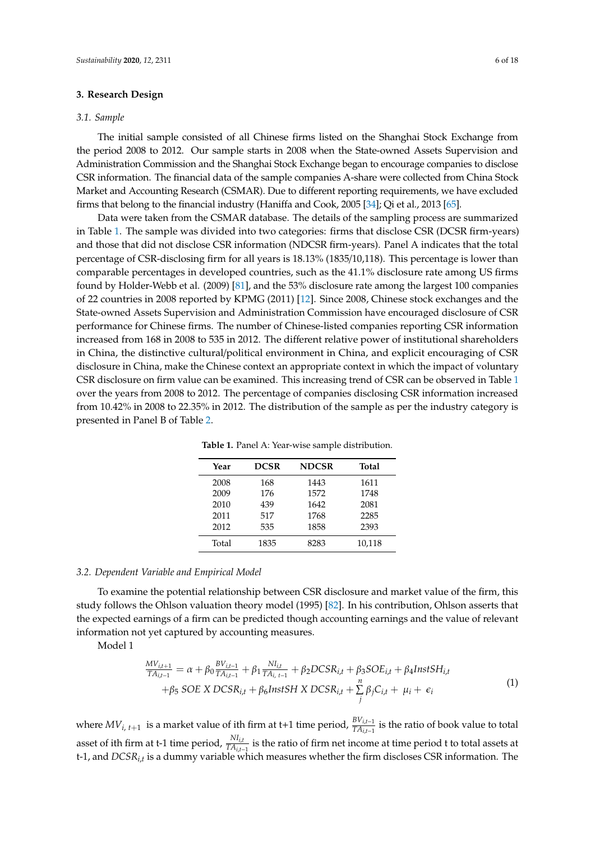# **3. Research Design**

# *3.1. Sample*

The initial sample consisted of all Chinese firms listed on the Shanghai Stock Exchange from the period 2008 to 2012. Our sample starts in 2008 when the State-owned Assets Supervision and Administration Commission and the Shanghai Stock Exchange began to encourage companies to disclose CSR information. The financial data of the sample companies A-share were collected from China Stock Market and Accounting Research (CSMAR). Due to different reporting requirements, we have excluded firms that belong to the financial industry (Haniffa and Cook, 2005 [\[34\]](#page-16-8); Qi et al., 2013 [\[65\]](#page-17-17).

Data were taken from the CSMAR database. The details of the sampling process are summarized in Table [1.](#page-6-0) The sample was divided into two categories: firms that disclose CSR (DCSR firm-years) and those that did not disclose CSR information (NDCSR firm-years). Panel A indicates that the total percentage of CSR-disclosing firm for all years is 18.13% (1835/10,118). This percentage is lower than comparable percentages in developed countries, such as the 41.1% disclosure rate among US firms found by Holder-Webb et al. (2009) [\[81\]](#page-18-7), and the 53% disclosure rate among the largest 100 companies of 22 countries in 2008 reported by KPMG (2011) [\[12\]](#page-15-10). Since 2008, Chinese stock exchanges and the State-owned Assets Supervision and Administration Commission have encouraged disclosure of CSR performance for Chinese firms. The number of Chinese-listed companies reporting CSR information increased from 168 in 2008 to 535 in 2012. The different relative power of institutional shareholders in China, the distinctive cultural/political environment in China, and explicit encouraging of CSR disclosure in China, make the Chinese context an appropriate context in which the impact of voluntary CSR disclosure on firm value can be examined. This increasing trend of CSR can be observed in Table [1](#page-6-0) over the years from 2008 to 2012. The percentage of companies disclosing CSR information increased from 10.42% in 2008 to 22.35% in 2012. The distribution of the sample as per the industry category is presented in Panel B of Table [2.](#page-7-0)

<span id="page-6-0"></span>

| Year  | <b>DCSR</b> | <b>NDCSR</b> | <b>Total</b> |
|-------|-------------|--------------|--------------|
| 2008  | 168         | 1443         | 1611         |
| 2009  | 176         | 1572         | 1748         |
| 2010  | 439         | 1642         | 2081         |
| 2011  | 517         | 1768         | 2285         |
| 2012  | 535         | 1858         | 2393         |
| Total | 1835        | 8283         | 10,118       |

**Table 1.** Panel A: Year-wise sample distribution.

# *3.2. Dependent Variable and Empirical Model*

To examine the potential relationship between CSR disclosure and market value of the firm, this study follows the Ohlson valuation theory model (1995) [\[82\]](#page-18-8). In his contribution, Ohlson asserts that the expected earnings of a firm can be predicted though accounting earnings and the value of relevant information not yet captured by accounting measures.

Model 1

$$
\frac{MV_{i,t+1}}{TA_{i,t-1}} = \alpha + \beta_0 \frac{BV_{i,t-1}}{TA_{i,t-1}} + \beta_1 \frac{NI_{i,t}}{TA_{i,t-1}} + \beta_2 DCSR_{i,t} + \beta_3 SOE_{i,t} + \beta_4 InstSH_{i,t} + \beta_5 SOE X DCSR_{i,t} + \beta_6 InstSH X DCSR_{i,t} + \sum_j^n \beta_j C_{i,t} + \mu_i + \epsilon_i
$$
\n(1)

where *MVi*, *<sup>t</sup>*+<sup>1</sup> is a market value of ith firm at t+1 time period, *BVi*,*t*−<sup>1</sup> *TAi*,*t*−<sup>1</sup> is the ratio of book value to total asset of ith firm at t-1 time period,  $\frac{N I_{i,t}}{TA_{i,t-1}}$  is the ratio of firm net income at time period t to total assets at t-1, and *DCSRi*,*<sup>t</sup>* is a dummy variable which measures whether the firm discloses CSR information. The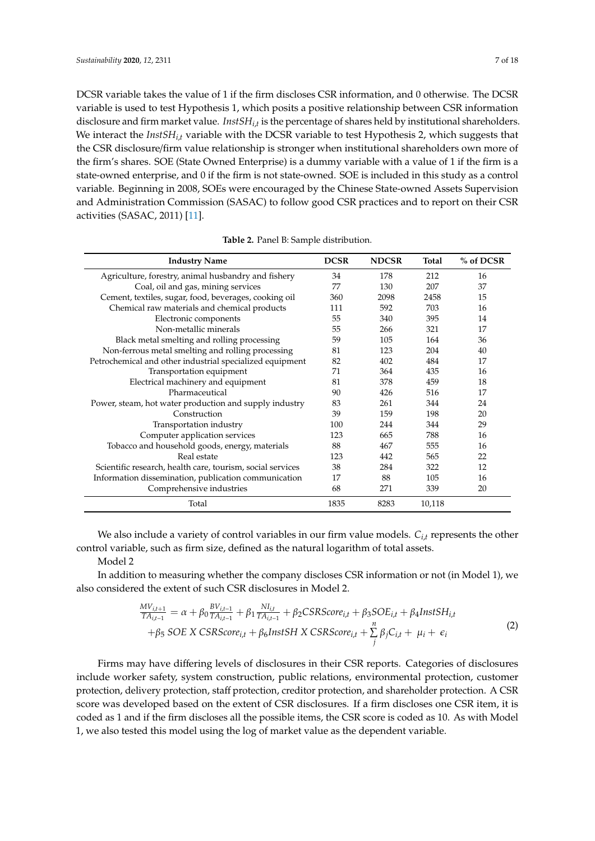DCSR variable takes the value of 1 if the firm discloses CSR information, and 0 otherwise. The DCSR variable is used to test Hypothesis 1, which posits a positive relationship between CSR information disclosure and firm market value. *InstSHi*,*<sup>t</sup>* is the percentage of shares held by institutional shareholders. We interact the *InstSHi*,*<sup>t</sup>* variable with the DCSR variable to test Hypothesis 2, which suggests that the CSR disclosure/firm value relationship is stronger when institutional shareholders own more of the firm's shares. SOE (State Owned Enterprise) is a dummy variable with a value of 1 if the firm is a state-owned enterprise, and 0 if the firm is not state-owned. SOE is included in this study as a control variable. Beginning in 2008, SOEs were encouraged by the Chinese State-owned Assets Supervision and Administration Commission (SASAC) to follow good CSR practices and to report on their CSR activities (SASAC, 2011) [\[11\]](#page-15-9).

<span id="page-7-0"></span>

| <b>Industry Name</b>                                       | <b>DCSR</b> | <b>NDCSR</b> | Total  | % of DCSR |
|------------------------------------------------------------|-------------|--------------|--------|-----------|
| Agriculture, forestry, animal husbandry and fishery        | 34          | 178          | 212    | 16        |
| Coal, oil and gas, mining services                         | 77          | 130          | 207    | 37        |
| Cement, textiles, sugar, food, beverages, cooking oil      | 360         | 2098         | 2458   | 15        |
| Chemical raw materials and chemical products               | 111         | 592          | 703    | 16        |
| Electronic components                                      | 55          | 340          | 395    | 14        |
| Non-metallic minerals                                      | 55          | 266          | 321    | 17        |
| Black metal smelting and rolling processing                | 59          | 105          | 164    | 36        |
| Non-ferrous metal smelting and rolling processing          | 81          | 123          | 204    | 40        |
| Petrochemical and other industrial specialized equipment   | 82          | 402          | 484    | 17        |
| Transportation equipment                                   | 71          | 364          | 435    | 16        |
| Electrical machinery and equipment                         | 81          | 378          | 459    | 18        |
| Pharmaceutical                                             | 90          | 426          | 516    | 17        |
| Power, steam, hot water production and supply industry     | 83          | 261          | 344    | 24        |
| Construction                                               | 39          | 159          | 198    | 20        |
| Transportation industry                                    | 100         | 244          | 344    | 29        |
| Computer application services                              | 123         | 665          | 788    | 16        |
| Tobacco and household goods, energy, materials             | 88          | 467          | 555    | 16        |
| Real estate                                                | 123         | 442          | 565    | 22        |
| Scientific research, health care, tourism, social services | 38          | 284          | 322    | 12        |
| Information dissemination, publication communication       | 17          | 88           | 105    | 16        |
| Comprehensive industries                                   | 68          | 271          | 339    | 20        |
| Total                                                      | 1835        | 8283         | 10,118 |           |

**Table 2.** Panel B: Sample distribution.

We also include a variety of control variables in our firm value models. *Ci*,*<sup>t</sup>* represents the other control variable, such as firm size, defined as the natural logarithm of total assets.

Model 2

In addition to measuring whether the company discloses CSR information or not (in Model 1), we also considered the extent of such CSR disclosures in Model 2.

$$
\frac{MV_{i,t+1}}{TA_{i,t-1}} = \alpha + \beta_0 \frac{BV_{i,t-1}}{TA_{i,t-1}} + \beta_1 \frac{NI_{i,t}}{TA_{i,t-1}} + \beta_2 CSRScore_{i,t} + \beta_3 SOE_{i,t} + \beta_4 InstSH_{i,t} \n+ \beta_5 SOE X CSRScore_{i,t} + \beta_6 InstSH X CSRScore_{i,t} + \sum_{j}^{n} \beta_j C_{i,t} + \mu_i + \epsilon_i
$$
\n(2)

Firms may have differing levels of disclosures in their CSR reports. Categories of disclosures include worker safety, system construction, public relations, environmental protection, customer protection, delivery protection, staff protection, creditor protection, and shareholder protection. A CSR score was developed based on the extent of CSR disclosures. If a firm discloses one CSR item, it is coded as 1 and if the firm discloses all the possible items, the CSR score is coded as 10. As with Model 1, we also tested this model using the log of market value as the dependent variable.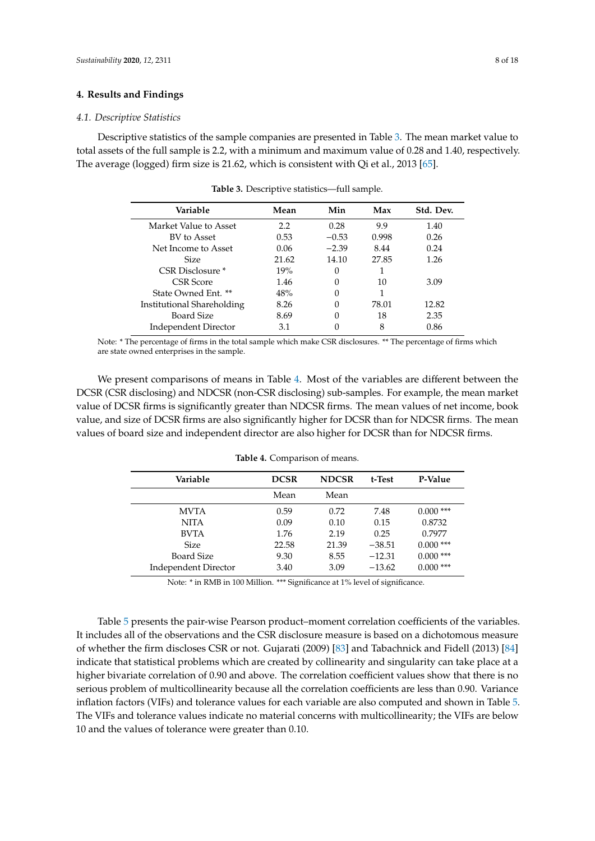# **4. Results and Findings**

#### *4.1. Descriptive Statistics*

<span id="page-8-0"></span>Descriptive statistics of the sample companies are presented in Table [3.](#page-8-0) The mean market value to total assets of the full sample is 2.2, with a minimum and maximum value of 0.28 and 1.40, respectively. The average (logged) firm size is 21.62, which is consistent with Qi et al., 2013 [\[65\]](#page-17-17).

| Variable                    | Mean  | Min     | Max   | Std. Dev. |
|-----------------------------|-------|---------|-------|-----------|
| Market Value to Asset       | 2.2   | 0.28    | 9.9   | 1.40      |
| BV to Asset                 | 0.53  | $-0.53$ | 0.998 | 0.26      |
| Net Income to Asset         | 0.06  | $-2.39$ | 8.44  | 0.24      |
| <b>Size</b>                 | 21.62 | 14.10   | 27.85 | 1.26      |
| CSR Disclosure *            | 19%   | 0       |       |           |
| <b>CSR</b> Score            | 1.46  |         | 10    | 3.09      |
| State Owned Ent. **         | 48%   |         |       |           |
| Institutional Shareholding  | 8.26  |         | 78.01 | 12.82     |
| <b>Board Size</b>           | 8.69  |         | 18    | 2.35      |
| <b>Independent Director</b> | 3.1   |         | 8     | 0.86      |

**Table 3.** Descriptive statistics—full sample.

Note: \* The percentage of firms in the total sample which make CSR disclosures. \*\* The percentage of firms which are state owned enterprises in the sample.

We present comparisons of means in Table [4.](#page-8-1) Most of the variables are different between the DCSR (CSR disclosing) and NDCSR (non-CSR disclosing) sub-samples. For example, the mean market value of DCSR firms is significantly greater than NDCSR firms. The mean values of net income, book value, and size of DCSR firms are also significantly higher for DCSR than for NDCSR firms. The mean values of board size and independent director are also higher for DCSR than for NDCSR firms.

<span id="page-8-1"></span>

| Variable                    | <b>DCSR</b> | <b>NDCSR</b> | t-Test   | P-Value     |
|-----------------------------|-------------|--------------|----------|-------------|
|                             | Mean        | Mean         |          |             |
| <b>MVTA</b>                 | 0.59        | 0.72         | 7.48     | $0.000$ *** |
| <b>NITA</b>                 | 0.09        | 0.10         | 0.15     | 0.8732      |
| <b>BVTA</b>                 | 1.76        | 2.19         | 0.25     | 0.7977      |
| <b>Size</b>                 | 22.58       | 21.39        | $-38.51$ | $0.000$ *** |
| Board Size                  | 9.30        | 8.55         | $-12.31$ | $0.000$ *** |
| <b>Independent Director</b> | 3.40        | 3.09         | $-13.62$ | $0.000$ *** |

**Table 4.** Comparison of means.

Note: \* in RMB in 100 Million. \*\*\* Significance at 1% level of significance.

Table [5](#page-9-0) presents the pair-wise Pearson product–moment correlation coefficients of the variables. It includes all of the observations and the CSR disclosure measure is based on a dichotomous measure of whether the firm discloses CSR or not. Gujarati (2009) [\[83\]](#page-18-9) and Tabachnick and Fidell (2013) [\[84\]](#page-18-10) indicate that statistical problems which are created by collinearity and singularity can take place at a higher bivariate correlation of 0.90 and above. The correlation coefficient values show that there is no serious problem of multicollinearity because all the correlation coefficients are less than 0.90. Variance inflation factors (VIFs) and tolerance values for each variable are also computed and shown in Table [5.](#page-9-0) The VIFs and tolerance values indicate no material concerns with multicollinearity; the VIFs are below 10 and the values of tolerance were greater than 0.10.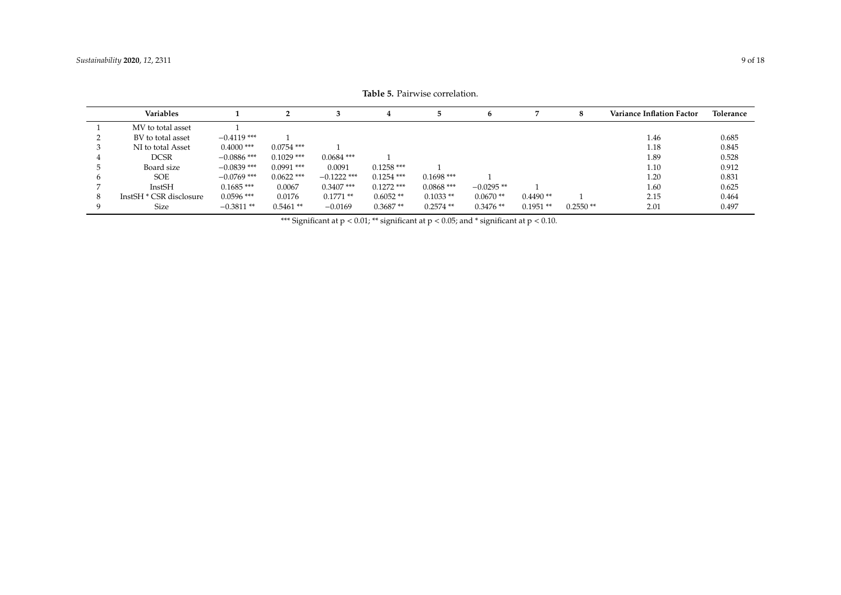<span id="page-9-0"></span>

|   | Variables               |               |              |               |              |              | 'n           |            | 8          | <b>Variance Inflation Factor</b> | Tolerance |
|---|-------------------------|---------------|--------------|---------------|--------------|--------------|--------------|------------|------------|----------------------------------|-----------|
|   | MV to total asset       |               |              |               |              |              |              |            |            |                                  |           |
|   | BV to total asset       | $-0.4119$ *** |              |               |              |              |              |            |            | 1.46                             | 0.685     |
|   | NI to total Asset       | $0.4000$ ***  | $0.0754$ *** |               |              |              |              |            |            | 1.18                             | 0.845     |
|   | <b>DCSR</b>             | $-0.0886$ *** | $0.1029$ *** | $0.0684$ ***  |              |              |              |            |            | 1.89                             | 0.528     |
|   | Board size              | $-0.0839$ *** | $0.0991$ *** | 0.0091        | $0.1258$ *** |              |              |            |            | 1.10                             | 0.912     |
|   | <b>SOE</b>              | $-0.0769$ *** | $0.0622$ *** | $-0.1222$ *** | $0.1254$ *** | $0.1698$ *** |              |            |            | 1.20                             | 0.831     |
|   | InstSH                  | $0.1685$ ***  | 0.0067       | $0.3407$ ***  | $0.1272$ *** | $0.0868$ *** | $-0.0295$ ** |            |            | 1.60                             | 0.625     |
| 8 | InstSH * CSR disclosure | $0.0596$ ***  | 0.0176       | $0.1771**$    | $0.6052**$   | $0.1033**$   | $0.0670**$   | $0.4490**$ |            | 2.15                             | 0.464     |
|   | Size                    | $-0.3811**$   | $0.5461**$   | $-0.0169$     | $0.3687**$   | $0.2574$ **  | $0.3476**$   | $0.1951**$ | $0.2550**$ | 2.01                             | 0.497     |

**Table 5.** Pairwise correlation.

\*\*\* Significant at  $p < 0.01$ ; \*\* significant at  $p < 0.05$ ; and \* significant at  $p < 0.10$ .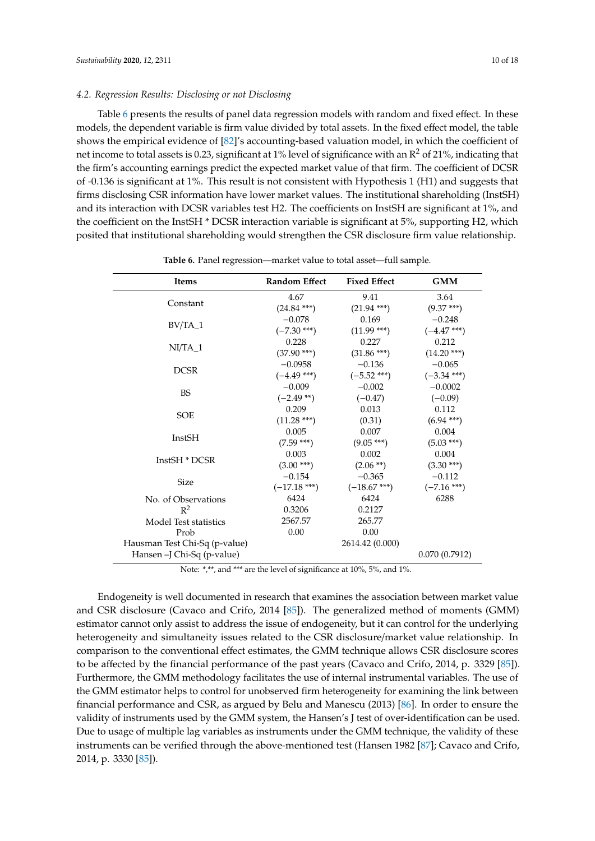# *4.2. Regression Results: Disclosing or not Disclosing*

Table [6](#page-10-0) presents the results of panel data regression models with random and fixed effect. In these models, the dependent variable is firm value divided by total assets. In the fixed effect model, the table shows the empirical evidence of [\[82\]](#page-18-8)'s accounting-based valuation model, in which the coefficient of net income to total assets is 0.23, significant at 1% level of significance with an  $R^2$  of 21%, indicating that the firm's accounting earnings predict the expected market value of that firm. The coefficient of DCSR of -0.136 is significant at 1%. This result is not consistent with Hypothesis 1 (H1) and suggests that firms disclosing CSR information have lower market values. The institutional shareholding (InstSH) and its interaction with DCSR variables test H2. The coefficients on InstSH are significant at 1%, and the coefficient on the InstSH \* DCSR interaction variable is significant at 5%, supporting H2, which posited that institutional shareholding would strengthen the CSR disclosure firm value relationship.

<span id="page-10-0"></span>

| Items                         | <b>Random Effect</b> | <b>Fixed Effect</b> | <b>GMM</b>    |
|-------------------------------|----------------------|---------------------|---------------|
|                               | 4.67                 | 9.41                | 3.64          |
| Constant                      | $(24.84***)$         | $(21.94***)$        | $(9.37***)$   |
|                               | $-0.078$             | 0.169               | $-0.248$      |
| $BV/TA_1$                     | $(-7.30***)$         | $(11.99***)$        | $(-4.47***)$  |
| $NI/TA$ 1                     | 0.228                | 0.227               | 0.212         |
|                               | $(37.90***)$         | $(31.86***)$        | $(14.20***)$  |
| <b>DCSR</b>                   | $-0.0958$            | $-0.136$            | $-0.065$      |
|                               | $(-4.49***)$         | $(-5.52$ ***)       | $(-3.34***)$  |
| <b>BS</b>                     | $-0.009$             | $-0.002$            | $-0.0002$     |
|                               | $(-2.49**)$          | $(-0.47)$           | $(-0.09)$     |
| <b>SOE</b>                    | 0.209                | 0.013               | 0.112         |
|                               | $(11.28***)$         | (0.31)              | $(6.94***)$   |
| InstSH                        | 0.005                | 0.007               | 0.004         |
|                               | $(7.59***)$          | $(9.05***)$         | $(5.03***)$   |
| InstSH * DCSR                 | 0.003                | 0.002               | 0.004         |
|                               | $(3.00***)$          | $(2.06**)$          | $(3.30***)$   |
| <b>Size</b>                   | $-0.154$             | $-0.365$            | $-0.112$      |
|                               | $(-17.18***)$        | $(-18.67***)$       | $(-7.16***)$  |
| No. of Observations           | 6424                 | 6424                | 6288          |
| $R^2$                         | 0.3206               | 0.2127              |               |
| Model Test statistics         | 2567.57              | 265.77              |               |
| Prob                          | 0.00                 | 0.00                |               |
| Hausman Test Chi-Sq (p-value) |                      | 2614.42 (0.000)     |               |
| Hansen -J Chi-Sq (p-value)    |                      |                     | 0.070(0.7912) |

**Table 6.** Panel regression—market value to total asset—full sample.

Note: \*,\*\*, and \*\*\* are the level of significance at 10%, 5%, and 1%.

Endogeneity is well documented in research that examines the association between market value and CSR disclosure (Cavaco and Crifo, 2014 [\[85\]](#page-18-11)). The generalized method of moments (GMM) estimator cannot only assist to address the issue of endogeneity, but it can control for the underlying heterogeneity and simultaneity issues related to the CSR disclosure/market value relationship. In comparison to the conventional effect estimates, the GMM technique allows CSR disclosure scores to be affected by the financial performance of the past years (Cavaco and Crifo, 2014, p. 3329 [\[85\]](#page-18-11)). Furthermore, the GMM methodology facilitates the use of internal instrumental variables. The use of the GMM estimator helps to control for unobserved firm heterogeneity for examining the link between financial performance and CSR, as argued by Belu and Manescu (2013) [\[86\]](#page-18-12). In order to ensure the validity of instruments used by the GMM system, the Hansen's J test of over-identification can be used. Due to usage of multiple lag variables as instruments under the GMM technique, the validity of these instruments can be verified through the above-mentioned test (Hansen 1982 [\[87\]](#page-18-13); Cavaco and Crifo, 2014, p. 3330 [\[85\]](#page-18-11)).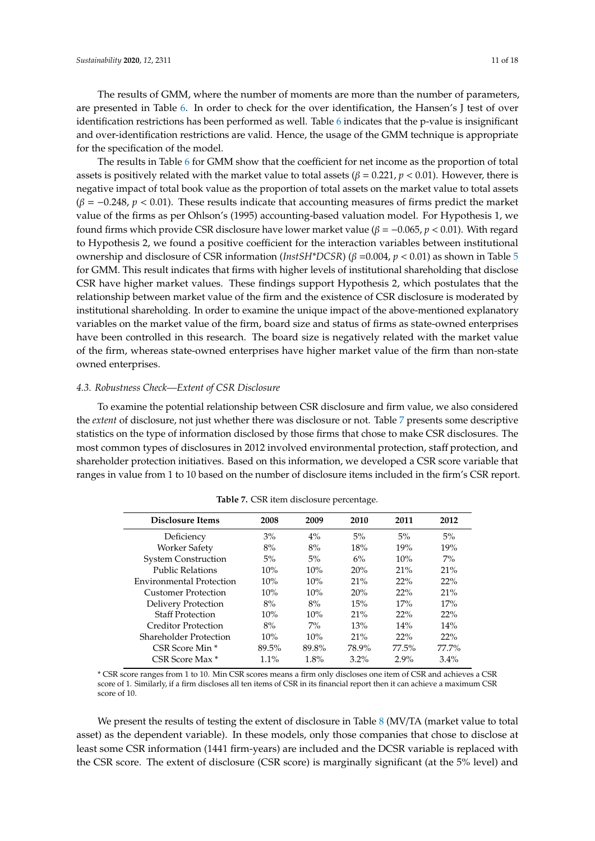The results of GMM, where the number of moments are more than the number of parameters, are presented in Table [6.](#page-10-0) In order to check for the over identification, the Hansen's J test of over identification restrictions has been performed as well. Table [6](#page-10-0) indicates that the p-value is insignificant and over-identification restrictions are valid. Hence, the usage of the GMM technique is appropriate for the specification of the model.

The results in Table [6](#page-10-0) for GMM show that the coefficient for net income as the proportion of total assets is positively related with the market value to total assets ( $\beta = 0.221$ ,  $p < 0.01$ ). However, there is negative impact of total book value as the proportion of total assets on the market value to total assets  $(\beta = -0.248, p < 0.01)$ . These results indicate that accounting measures of firms predict the market value of the firms as per Ohlson's (1995) accounting-based valuation model. For Hypothesis 1, we found firms which provide CSR disclosure have lower market value ( $\beta$  =  $-0.065$ ,  $p$  < 0.01). With regard to Hypothesis 2, we found a positive coefficient for the interaction variables between institutional ownership and disclosure of CSR information (*InstSH\*DCSR*) (β =0.004, *p* < 0.01) as shown in Table [5](#page-9-0) for GMM. This result indicates that firms with higher levels of institutional shareholding that disclose CSR have higher market values. These findings support Hypothesis 2, which postulates that the relationship between market value of the firm and the existence of CSR disclosure is moderated by institutional shareholding. In order to examine the unique impact of the above-mentioned explanatory variables on the market value of the firm, board size and status of firms as state-owned enterprises have been controlled in this research. The board size is negatively related with the market value of the firm, whereas state-owned enterprises have higher market value of the firm than non-state owned enterprises.

# *4.3. Robustness Check—Extent of CSR Disclosure*

To examine the potential relationship between CSR disclosure and firm value, we also considered the *extent* of disclosure, not just whether there was disclosure or not. Table [7](#page-11-0) presents some descriptive statistics on the type of information disclosed by those firms that chose to make CSR disclosures. The most common types of disclosures in 2012 involved environmental protection, staff protection, and shareholder protection initiatives. Based on this information, we developed a CSR score variable that ranges in value from 1 to 10 based on the number of disclosure items included in the firm's CSR report.

<span id="page-11-0"></span>

| Disclosure Items                | 2008    | 2009  | 2010    | 2011     | 2012    |
|---------------------------------|---------|-------|---------|----------|---------|
| Deficiency                      | $3\%$   | $4\%$ | 5%      | 5%       | $5\%$   |
| <b>Worker Safety</b>            | 8%      | 8%    | 18%     | 19%      | 19%     |
| <b>System Construction</b>      | $5\%$   | 5%    | 6%      | 10%      | $7\%$   |
| <b>Public Relations</b>         | 10%     | 10%   | 20%     | 21%      | 21%     |
| <b>Environmental Protection</b> | 10%     | 10%   | 21%     | 22%      | 22%     |
| Customer Protection             | 10%     | 10%   | 20%     | 22%      | 21%     |
| <b>Delivery Protection</b>      | 8%      | 8%    | 15%     | 17%      | 17%     |
| <b>Staff Protection</b>         | 10%     | 10%   | 21%     | 22%      | 22%     |
| Creditor Protection             | 8%      | $7\%$ | 13%     | 14%      | 14%     |
| Shareholder Protection          | 10%     | 10%   | 21%     | 22%      | 22%     |
| CSR Score Min *                 | 89.5%   | 89.8% | 78.9%   | $77.5\%$ | 77.7%   |
| CSR Score Max <sup>*</sup>      | $1.1\%$ | 1.8%  | $3.2\%$ | $2.9\%$  | $3.4\%$ |

**Table 7.** CSR item disclosure percentage.

\* CSR score ranges from 1 to 10. Min CSR scores means a firm only discloses one item of CSR and achieves a CSR score of 1. Similarly, if a firm discloses all ten items of CSR in its financial report then it can achieve a maximum CSR score of 10.

We present the results of testing the extent of disclosure in Table [8](#page-12-0) (MV/TA (market value to total asset) as the dependent variable). In these models, only those companies that chose to disclose at least some CSR information (1441 firm-years) are included and the DCSR variable is replaced with the CSR score. The extent of disclosure (CSR score) is marginally significant (at the 5% level) and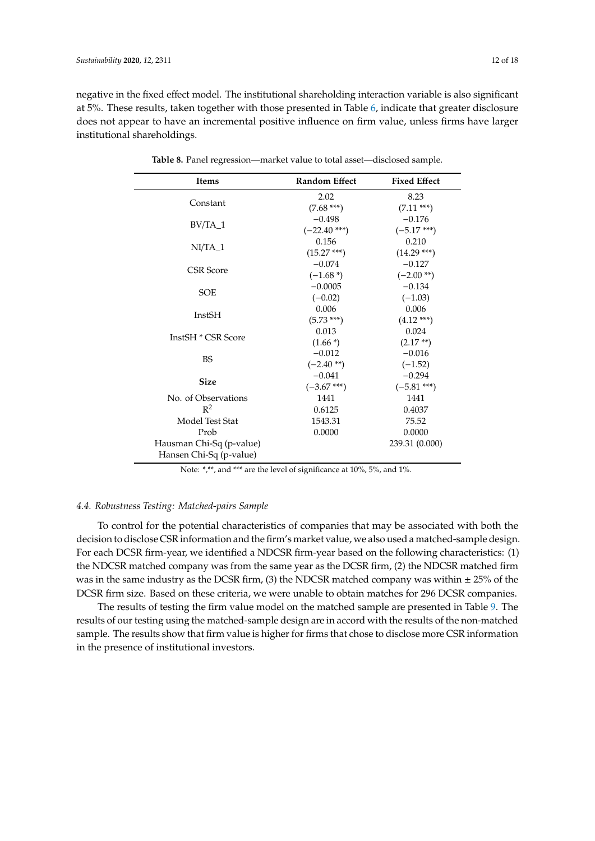<span id="page-12-0"></span>negative in the fixed effect model. The institutional shareholding interaction variable is also significant at 5%. These results, taken together with those presented in Table [6,](#page-10-0) indicate that greater disclosure does not appear to have an incremental positive influence on firm value, unless firms have larger institutional shareholdings.

| <b>Items</b>                                        | <b>Random Effect</b> | <b>Fixed Effect</b> |
|-----------------------------------------------------|----------------------|---------------------|
|                                                     | 2.02                 | 8.23                |
| Constant                                            | $(7.68***)$          | $(7.11***)$         |
|                                                     | $-0.498$             | $-0.176$            |
| BV/TA_1                                             | $(-22.40$ ***)       | $(-5.17***)$        |
| $NI/TA$ 1                                           | 0.156                | 0.210               |
|                                                     | $(15.27***)$         | $(14.29***)$        |
|                                                     | $-0.074$             | $-0.127$            |
| <b>CSR</b> Score                                    | $(-1.68*)$           | $(-2.00**)$         |
|                                                     | $-0.0005$            | $-0.134$            |
| <b>SOE</b>                                          | $(-0.02)$            | $(-1.03)$           |
|                                                     | 0.006                | 0.006               |
| InstSH                                              | $(5.73***)$          | $(4.12***)$         |
|                                                     | 0.013                | 0.024               |
| InstSH * CSR Score                                  | $(1.66*)$            | $(2.17**)$          |
|                                                     | $-0.012$             | $-0.016$            |
| <b>BS</b>                                           | $(-2.40**)$          | $(-1.52)$           |
| <b>Size</b>                                         | $-0.041$             | $-0.294$            |
|                                                     | $(-3.67***)$         | $(-5.81***)$        |
| No. of Observations                                 | 1441                 | 1441                |
| $R^2$                                               | 0.6125               | 0.4037              |
| Model Test Stat                                     | 1543.31              | 75.52               |
| Prob                                                | 0.0000               | 0.0000              |
| Hausman Chi-Sq (p-value)<br>Hansen Chi-Sq (p-value) |                      | 239.31 (0.000)      |

**Table 8.** Panel regression—market value to total asset—disclosed sample.

Note: \*,\*\*, and \*\*\* are the level of significance at 10%, 5%, and 1%.

# *4.4. Robustness Testing: Matched-pairs Sample*

To control for the potential characteristics of companies that may be associated with both the decision to disclose CSR information and the firm's market value, we also used a matched-sample design. For each DCSR firm-year, we identified a NDCSR firm-year based on the following characteristics: (1) the NDCSR matched company was from the same year as the DCSR firm, (2) the NDCSR matched firm was in the same industry as the DCSR firm, (3) the NDCSR matched company was within  $\pm$  25% of the DCSR firm size. Based on these criteria, we were unable to obtain matches for 296 DCSR companies.

The results of testing the firm value model on the matched sample are presented in Table [9.](#page-13-0) The results of our testing using the matched-sample design are in accord with the results of the non-matched sample. The results show that firm value is higher for firms that chose to disclose more CSR information in the presence of institutional investors.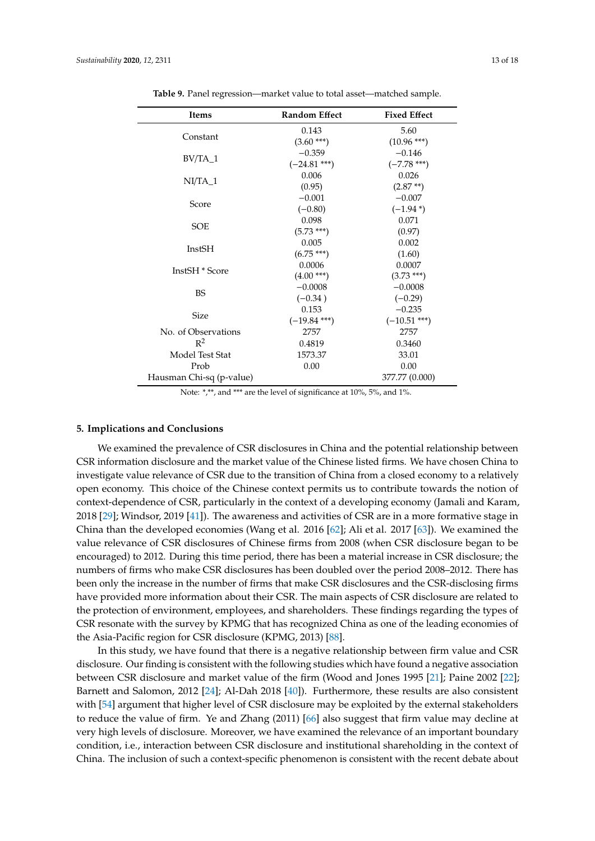<span id="page-13-0"></span>

| Items                    | <b>Random Effect</b> | <b>Fixed Effect</b> |
|--------------------------|----------------------|---------------------|
|                          | 0.143                | 5.60                |
| Constant                 | $(3.60***)$          | $(10.96***)$        |
|                          | $-0.359$             | $-0.146$            |
| $BV/TA_1$                | $(-24.81$ ***)       | $(-7.78***)$        |
| $NI/TA_1$                | 0.006                | 0.026               |
|                          | (0.95)               | $(2.87**)$          |
| Score                    | $-0.001$             | $-0.007$            |
|                          | $(-0.80)$            | $(-1.94*)$          |
|                          | 0.098                | 0.071               |
| <b>SOE</b>               | $(5.73***)$          | (0.97)              |
| InstSH                   | 0.005                | 0.002               |
|                          | $(6.75***)$          | (1.60)              |
| InstSH * Score           | 0.0006               | 0.0007              |
|                          | $(4.00***)$          | $(3.73***)$         |
| <b>BS</b>                | $-0.0008$            | $-0.0008$           |
|                          | $(-0.34)$            | $(-0.29)$           |
| <b>Size</b>              | 0.153                | $-0.235$            |
|                          | $(-19.84$ ***)       | $(-10.51***)$       |
| No. of Observations      | 2757                 | 2757                |
| $R^2$                    | 0.4819               | 0.3460              |
| Model Test Stat          | 1573.37              | 33.01               |
| Prob                     | 0.00                 | 0.00                |
| Hausman Chi-sq (p-value) |                      | 377.77 (0.000)      |

**Table 9.** Panel regression—market value to total asset—matched sample.

Note: \*,\*\*, and \*\*\* are the level of significance at 10%, 5%, and 1%.

# **5. Implications and Conclusions**

We examined the prevalence of CSR disclosures in China and the potential relationship between CSR information disclosure and the market value of the Chinese listed firms. We have chosen China to investigate value relevance of CSR due to the transition of China from a closed economy to a relatively open economy. This choice of the Chinese context permits us to contribute towards the notion of context-dependence of CSR, particularly in the context of a developing economy (Jamali and Karam, 2018 [\[29\]](#page-16-3); Windsor, 2019 [\[41\]](#page-16-15)). The awareness and activities of CSR are in a more formative stage in China than the developed economies (Wang et al. 2016 [\[62\]](#page-17-14); Ali et al. 2017 [\[63\]](#page-17-15)). We examined the value relevance of CSR disclosures of Chinese firms from 2008 (when CSR disclosure began to be encouraged) to 2012. During this time period, there has been a material increase in CSR disclosure; the numbers of firms who make CSR disclosures has been doubled over the period 2008–2012. There has been only the increase in the number of firms that make CSR disclosures and the CSR-disclosing firms have provided more information about their CSR. The main aspects of CSR disclosure are related to the protection of environment, employees, and shareholders. These findings regarding the types of CSR resonate with the survey by KPMG that has recognized China as one of the leading economies of the Asia-Pacific region for CSR disclosure (KPMG, 2013) [\[88\]](#page-18-14).

In this study, we have found that there is a negative relationship between firm value and CSR disclosure. Our finding is consistent with the following studies which have found a negative association between CSR disclosure and market value of the firm (Wood and Jones 1995 [\[21\]](#page-15-19); Paine 2002 [\[22\]](#page-15-20); Barnett and Salomon, 2012 [\[24\]](#page-15-22); Al-Dah 2018 [\[40\]](#page-16-14)). Furthermore, these results are also consistent with [\[54\]](#page-17-6) argument that higher level of CSR disclosure may be exploited by the external stakeholders to reduce the value of firm. Ye and Zhang (2011) [\[66\]](#page-17-18) also suggest that firm value may decline at very high levels of disclosure. Moreover, we have examined the relevance of an important boundary condition, i.e., interaction between CSR disclosure and institutional shareholding in the context of China. The inclusion of such a context-specific phenomenon is consistent with the recent debate about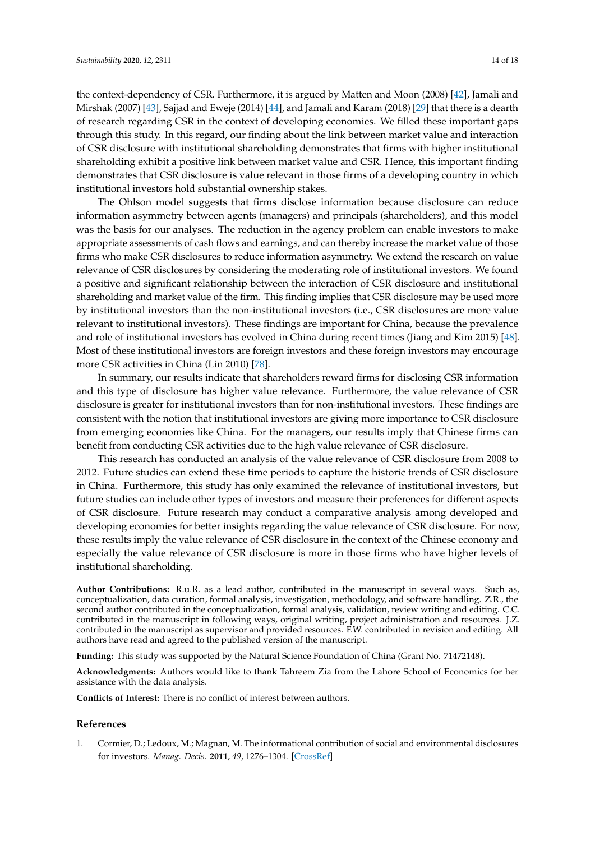the context-dependency of CSR. Furthermore, it is argued by Matten and Moon (2008) [\[42\]](#page-16-16), Jamali and Mirshak (2007) [\[43\]](#page-16-17), Sajjad and Eweje (2014) [\[44\]](#page-16-18), and Jamali and Karam (2018) [\[29\]](#page-16-3) that there is a dearth of research regarding CSR in the context of developing economies. We filled these important gaps through this study. In this regard, our finding about the link between market value and interaction of CSR disclosure with institutional shareholding demonstrates that firms with higher institutional shareholding exhibit a positive link between market value and CSR. Hence, this important finding demonstrates that CSR disclosure is value relevant in those firms of a developing country in which institutional investors hold substantial ownership stakes.

The Ohlson model suggests that firms disclose information because disclosure can reduce information asymmetry between agents (managers) and principals (shareholders), and this model was the basis for our analyses. The reduction in the agency problem can enable investors to make appropriate assessments of cash flows and earnings, and can thereby increase the market value of those firms who make CSR disclosures to reduce information asymmetry. We extend the research on value relevance of CSR disclosures by considering the moderating role of institutional investors. We found a positive and significant relationship between the interaction of CSR disclosure and institutional shareholding and market value of the firm. This finding implies that CSR disclosure may be used more by institutional investors than the non-institutional investors (i.e., CSR disclosures are more value relevant to institutional investors). These findings are important for China, because the prevalence and role of institutional investors has evolved in China during recent times (Jiang and Kim 2015) [\[48\]](#page-17-0). Most of these institutional investors are foreign investors and these foreign investors may encourage more CSR activities in China (Lin 2010) [\[78\]](#page-18-4).

In summary, our results indicate that shareholders reward firms for disclosing CSR information and this type of disclosure has higher value relevance. Furthermore, the value relevance of CSR disclosure is greater for institutional investors than for non-institutional investors. These findings are consistent with the notion that institutional investors are giving more importance to CSR disclosure from emerging economies like China. For the managers, our results imply that Chinese firms can benefit from conducting CSR activities due to the high value relevance of CSR disclosure.

This research has conducted an analysis of the value relevance of CSR disclosure from 2008 to 2012. Future studies can extend these time periods to capture the historic trends of CSR disclosure in China. Furthermore, this study has only examined the relevance of institutional investors, but future studies can include other types of investors and measure their preferences for different aspects of CSR disclosure. Future research may conduct a comparative analysis among developed and developing economies for better insights regarding the value relevance of CSR disclosure. For now, these results imply the value relevance of CSR disclosure in the context of the Chinese economy and especially the value relevance of CSR disclosure is more in those firms who have higher levels of institutional shareholding.

**Author Contributions:** R.u.R. as a lead author, contributed in the manuscript in several ways. Such as, conceptualization, data curation, formal analysis, investigation, methodology, and software handling. Z.R., the second author contributed in the conceptualization, formal analysis, validation, review writing and editing. C.C. contributed in the manuscript in following ways, original writing, project administration and resources. J.Z. contributed in the manuscript as supervisor and provided resources. F.W. contributed in revision and editing. All authors have read and agreed to the published version of the manuscript.

**Funding:** This study was supported by the Natural Science Foundation of China (Grant No. 71472148).

**Acknowledgments:** Authors would like to thank Tahreem Zia from the Lahore School of Economics for her assistance with the data analysis.

**Conflicts of Interest:** There is no conflict of interest between authors.

## **References**

<span id="page-14-0"></span>1. Cormier, D.; Ledoux, M.; Magnan, M. The informational contribution of social and environmental disclosures for investors. *Manag. Decis.* **2011**, *49*, 1276–1304. [\[CrossRef\]](http://dx.doi.org/10.1108/00251741111163124)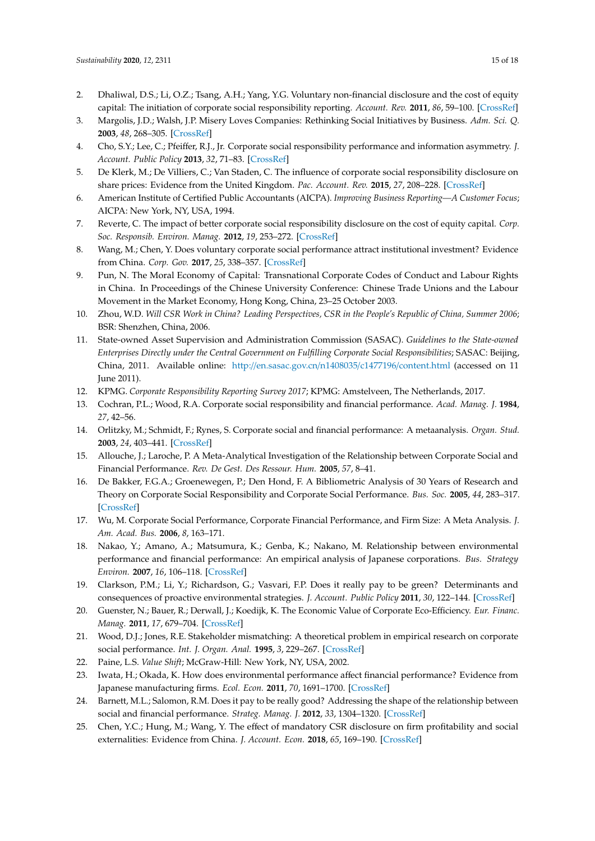- <span id="page-15-0"></span>2. Dhaliwal, D.S.; Li, O.Z.; Tsang, A.H.; Yang, Y.G. Voluntary non-financial disclosure and the cost of equity capital: The initiation of corporate social responsibility reporting. *Account. Rev.* **2011**, *86*, 59–100. [\[CrossRef\]](http://dx.doi.org/10.2308/accr.00000005)
- <span id="page-15-1"></span>3. Margolis, J.D.; Walsh, J.P. Misery Loves Companies: Rethinking Social Initiatives by Business. *Adm. Sci. Q.* **2003**, *48*, 268–305. [\[CrossRef\]](http://dx.doi.org/10.2307/3556659)
- <span id="page-15-2"></span>4. Cho, S.Y.; Lee, C.; Pfeiffer, R.J., Jr. Corporate social responsibility performance and information asymmetry. *J. Account. Public Policy* **2013**, *32*, 71–83. [\[CrossRef\]](http://dx.doi.org/10.1016/j.jaccpubpol.2012.10.005)
- <span id="page-15-3"></span>5. De Klerk, M.; De Villiers, C.; Van Staden, C. The influence of corporate social responsibility disclosure on share prices: Evidence from the United Kingdom. *Pac. Account. Rev.* **2015**, *27*, 208–228. [\[CrossRef\]](http://dx.doi.org/10.1108/PAR-05-2013-0047)
- <span id="page-15-4"></span>6. American Institute of Certified Public Accountants (AICPA). *Improving Business Reporting—A Customer Focus*; AICPA: New York, NY, USA, 1994.
- <span id="page-15-5"></span>7. Reverte, C. The impact of better corporate social responsibility disclosure on the cost of equity capital. *Corp. Soc. Responsib. Environ. Manag.* **2012**, *19*, 253–272. [\[CrossRef\]](http://dx.doi.org/10.1002/csr.273)
- <span id="page-15-6"></span>8. Wang, M.; Chen, Y. Does voluntary corporate social performance attract institutional investment? Evidence from China. *Corp. Gov.* **2017**, *25*, 338–357. [\[CrossRef\]](http://dx.doi.org/10.1111/corg.12205)
- <span id="page-15-7"></span>9. Pun, N. The Moral Economy of Capital: Transnational Corporate Codes of Conduct and Labour Rights in China. In Proceedings of the Chinese University Conference: Chinese Trade Unions and the Labour Movement in the Market Economy, Hong Kong, China, 23–25 October 2003.
- <span id="page-15-8"></span>10. Zhou, W.D. *Will CSR Work in China? Leading Perspectives, CSR in the People's Republic of China, Summer 2006*; BSR: Shenzhen, China, 2006.
- <span id="page-15-9"></span>11. State-owned Asset Supervision and Administration Commission (SASAC). *Guidelines to the State-owned Enterprises Directly under the Central Government on Fulfilling Corporate Social Responsibilities*; SASAC: Beijing, China, 2011. Available online: http://[en.sasac.gov.cn](http://en.sasac.gov.cn/n1408035/c1477196/content.html)/n1408035/c1477196/content.html (accessed on 11 June 2011).
- <span id="page-15-10"></span>12. KPMG. *Corporate Responsibility Reporting Survey 2017*; KPMG: Amstelveen, The Netherlands, 2017.
- <span id="page-15-11"></span>13. Cochran, P.L.; Wood, R.A. Corporate social responsibility and financial performance. *Acad. Manag. J.* **1984**, *27*, 42–56.
- <span id="page-15-12"></span>14. Orlitzky, M.; Schmidt, F.; Rynes, S. Corporate social and financial performance: A metaanalysis. *Organ. Stud.* **2003**, *24*, 403–441. [\[CrossRef\]](http://dx.doi.org/10.1177/0170840603024003910)
- <span id="page-15-13"></span>15. Allouche, J.; Laroche, P. A Meta-Analytical Investigation of the Relationship between Corporate Social and Financial Performance. *Rev. De Gest. Des Ressour. Hum.* **2005**, *57*, 8–41.
- <span id="page-15-14"></span>16. De Bakker, F.G.A.; Groenewegen, P.; Den Hond, F. A Bibliometric Analysis of 30 Years of Research and Theory on Corporate Social Responsibility and Corporate Social Performance. *Bus. Soc.* **2005**, *44*, 283–317. [\[CrossRef\]](http://dx.doi.org/10.1177/0007650305278086)
- <span id="page-15-15"></span>17. Wu, M. Corporate Social Performance, Corporate Financial Performance, and Firm Size: A Meta Analysis. *J. Am. Acad. Bus.* **2006**, *8*, 163–171.
- <span id="page-15-16"></span>18. Nakao, Y.; Amano, A.; Matsumura, K.; Genba, K.; Nakano, M. Relationship between environmental performance and financial performance: An empirical analysis of Japanese corporations. *Bus. Strategy Environ.* **2007**, *16*, 106–118. [\[CrossRef\]](http://dx.doi.org/10.1002/bse.476)
- <span id="page-15-17"></span>19. Clarkson, P.M.; Li, Y.; Richardson, G.; Vasvari, F.P. Does it really pay to be green? Determinants and consequences of proactive environmental strategies. *J. Account. Public Policy* **2011**, *30*, 122–144. [\[CrossRef\]](http://dx.doi.org/10.1016/j.jaccpubpol.2010.09.013)
- <span id="page-15-18"></span>20. Guenster, N.; Bauer, R.; Derwall, J.; Koedijk, K. The Economic Value of Corporate Eco-Efficiency. *Eur. Financ. Manag.* **2011**, *17*, 679–704. [\[CrossRef\]](http://dx.doi.org/10.1111/j.1468-036X.2009.00532.x)
- <span id="page-15-19"></span>21. Wood, D.J.; Jones, R.E. Stakeholder mismatching: A theoretical problem in empirical research on corporate social performance. *Int. J. Organ. Anal.* **1995**, *3*, 229–267. [\[CrossRef\]](http://dx.doi.org/10.1108/eb028831)
- <span id="page-15-20"></span>22. Paine, L.S. *Value Shift*; McGraw-Hill: New York, NY, USA, 2002.
- <span id="page-15-21"></span>23. Iwata, H.; Okada, K. How does environmental performance affect financial performance? Evidence from Japanese manufacturing firms. *Ecol. Econ.* **2011**, *70*, 1691–1700. [\[CrossRef\]](http://dx.doi.org/10.1016/j.ecolecon.2011.05.010)
- <span id="page-15-22"></span>24. Barnett, M.L.; Salomon, R.M. Does it pay to be really good? Addressing the shape of the relationship between social and financial performance. *Strateg. Manag. J.* **2012**, *33*, 1304–1320. [\[CrossRef\]](http://dx.doi.org/10.1002/smj.1980)
- <span id="page-15-23"></span>25. Chen, Y.C.; Hung, M.; Wang, Y. The effect of mandatory CSR disclosure on firm profitability and social externalities: Evidence from China. *J. Account. Econ.* **2018**, *65*, 169–190. [\[CrossRef\]](http://dx.doi.org/10.1016/j.jacceco.2017.11.009)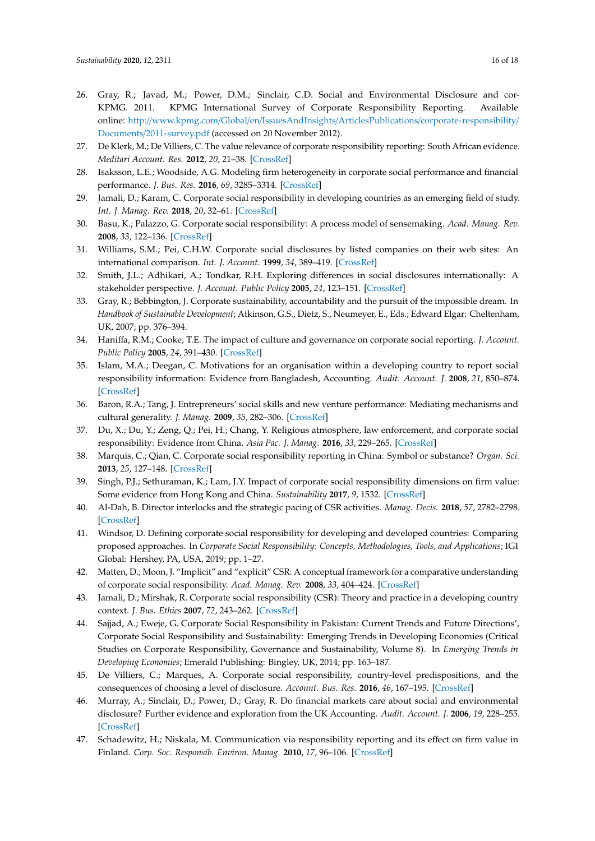- <span id="page-16-0"></span>26. Gray, R.; Javad, M.; Power, D.M.; Sinclair, C.D. Social and Environmental Disclosure and cor-KPMG. 2011. KPMG International Survey of Corporate Responsibility Reporting. Available online: http://www.kpmg.com/Global/en/IssuesAndInsights/ArticlesPublications/[corporate-responsibility](http://www.kpmg.com/Global/en/IssuesAndInsights/ArticlesPublications/corporate-responsibility/Documents/2011-survey.pdf)/ Documents/[2011-survey.pdf](http://www.kpmg.com/Global/en/IssuesAndInsights/ArticlesPublications/corporate-responsibility/Documents/2011-survey.pdf) (accessed on 20 November 2012).
- <span id="page-16-1"></span>27. De Klerk, M.; De Villiers, C. The value relevance of corporate responsibility reporting: South African evidence. *Meditari Account. Res.* **2012**, *20*, 21–38. [\[CrossRef\]](http://dx.doi.org/10.1108/10222521211234200)
- <span id="page-16-2"></span>28. Isaksson, L.E.; Woodside, A.G. Modeling firm heterogeneity in corporate social performance and financial performance. *J. Bus. Res.* **2016**, *69*, 3285–3314. [\[CrossRef\]](http://dx.doi.org/10.1016/j.jbusres.2016.02.021)
- <span id="page-16-3"></span>29. Jamali, D.; Karam, C. Corporate social responsibility in developing countries as an emerging field of study. *Int. J. Manag. Rev.* **2018**, *20*, 32–61. [\[CrossRef\]](http://dx.doi.org/10.1111/ijmr.12112)
- <span id="page-16-4"></span>30. Basu, K.; Palazzo, G. Corporate social responsibility: A process model of sensemaking. *Acad. Manag. Rev.* **2008**, *33*, 122–136. [\[CrossRef\]](http://dx.doi.org/10.5465/amr.2008.27745504)
- <span id="page-16-5"></span>31. Williams, S.M.; Pei, C.H.W. Corporate social disclosures by listed companies on their web sites: An international comparison. *Int. J. Account.* **1999**, *34*, 389–419. [\[CrossRef\]](http://dx.doi.org/10.1016/S0020-7063(99)00016-3)
- <span id="page-16-6"></span>32. Smith, J.L.; Adhikari, A.; Tondkar, R.H. Exploring differences in social disclosures internationally: A stakeholder perspective. *J. Account. Public Policy* **2005**, *24*, 123–151. [\[CrossRef\]](http://dx.doi.org/10.1016/j.jaccpubpol.2004.12.007)
- <span id="page-16-7"></span>33. Gray, R.; Bebbington, J. Corporate sustainability, accountability and the pursuit of the impossible dream. In *Handbook of Sustainable Development*; Atkinson, G.S., Dietz, S., Neumeyer, E., Eds.; Edward Elgar: Cheltenham, UK, 2007; pp. 376–394.
- <span id="page-16-8"></span>34. Haniffa, R.M.; Cooke, T.E. The impact of culture and governance on corporate social reporting. *J. Account. Public Policy* **2005**, *24*, 391–430. [\[CrossRef\]](http://dx.doi.org/10.1016/j.jaccpubpol.2005.06.001)
- <span id="page-16-9"></span>35. Islam, M.A.; Deegan, C. Motivations for an organisation within a developing country to report social responsibility information: Evidence from Bangladesh, Accounting. *Audit. Account. J.* **2008**, *21*, 850–874. [\[CrossRef\]](http://dx.doi.org/10.1108/09513570810893272)
- <span id="page-16-10"></span>36. Baron, R.A.; Tang, J. Entrepreneurs' social skills and new venture performance: Mediating mechanisms and cultural generality. *J. Manag.* **2009**, *35*, 282–306. [\[CrossRef\]](http://dx.doi.org/10.1177/0149206307312513)
- <span id="page-16-11"></span>37. Du, X.; Du, Y.; Zeng, Q.; Pei, H.; Chang, Y. Religious atmosphere, law enforcement, and corporate social responsibility: Evidence from China. *Asia Pac. J. Manag.* **2016**, *33*, 229–265. [\[CrossRef\]](http://dx.doi.org/10.1007/s10490-015-9441-0)
- <span id="page-16-12"></span>38. Marquis, C.; Qian, C. Corporate social responsibility reporting in China: Symbol or substance? *Organ. Sci.* **2013**, *25*, 127–148. [\[CrossRef\]](http://dx.doi.org/10.1287/orsc.2013.0837)
- <span id="page-16-13"></span>39. Singh, P.J.; Sethuraman, K.; Lam, J.Y. Impact of corporate social responsibility dimensions on firm value: Some evidence from Hong Kong and China. *Sustainability* **2017**, *9*, 1532. [\[CrossRef\]](http://dx.doi.org/10.3390/su9091532)
- <span id="page-16-14"></span>40. Al-Dah, B. Director interlocks and the strategic pacing of CSR activities. *Manag. Decis.* **2018**, *57*, 2782–2798. [\[CrossRef\]](http://dx.doi.org/10.1108/MD-11-2017-1103)
- <span id="page-16-15"></span>41. Windsor, D. Defining corporate social responsibility for developing and developed countries: Comparing proposed approaches. In *Corporate Social Responsibility: Concepts, Methodologies, Tools, and Applications*; IGI Global: Hershey, PA, USA, 2019; pp. 1–27.
- <span id="page-16-16"></span>42. Matten, D.; Moon, J. "Implicit" and "explicit" CSR: A conceptual framework for a comparative understanding of corporate social responsibility. *Acad. Manag. Rev.* **2008**, *33*, 404–424. [\[CrossRef\]](http://dx.doi.org/10.5465/amr.2008.31193458)
- <span id="page-16-17"></span>43. Jamali, D.; Mirshak, R. Corporate social responsibility (CSR): Theory and practice in a developing country context. *J. Bus. Ethics* **2007**, *72*, 243–262. [\[CrossRef\]](http://dx.doi.org/10.1007/s10551-006-9168-4)
- <span id="page-16-18"></span>44. Sajjad, A.; Eweje, G. Corporate Social Responsibility in Pakistan: Current Trends and Future Directions', Corporate Social Responsibility and Sustainability: Emerging Trends in Developing Economies (Critical Studies on Corporate Responsibility, Governance and Sustainability, Volume 8). In *Emerging Trends in Developing Economies*; Emerald Publishing: Bingley, UK, 2014; pp. 163–187.
- <span id="page-16-19"></span>45. De Villiers, C.; Marques, A. Corporate social responsibility, country-level predispositions, and the consequences of choosing a level of disclosure. *Account. Bus. Res.* **2016**, *46*, 167–195. [\[CrossRef\]](http://dx.doi.org/10.1080/00014788.2015.1039476)
- <span id="page-16-20"></span>46. Murray, A.; Sinclair, D.; Power, D.; Gray, R. Do financial markets care about social and environmental disclosure? Further evidence and exploration from the UK Accounting. *Audit. Account. J.* **2006**, *19*, 228–255. [\[CrossRef\]](http://dx.doi.org/10.1108/09513570610656105)
- <span id="page-16-21"></span>47. Schadewitz, H.; Niskala, M. Communication via responsibility reporting and its effect on firm value in Finland. *Corp. Soc. Responsib. Environ. Manag.* **2010**, *17*, 96–106. [\[CrossRef\]](http://dx.doi.org/10.1002/csr.234)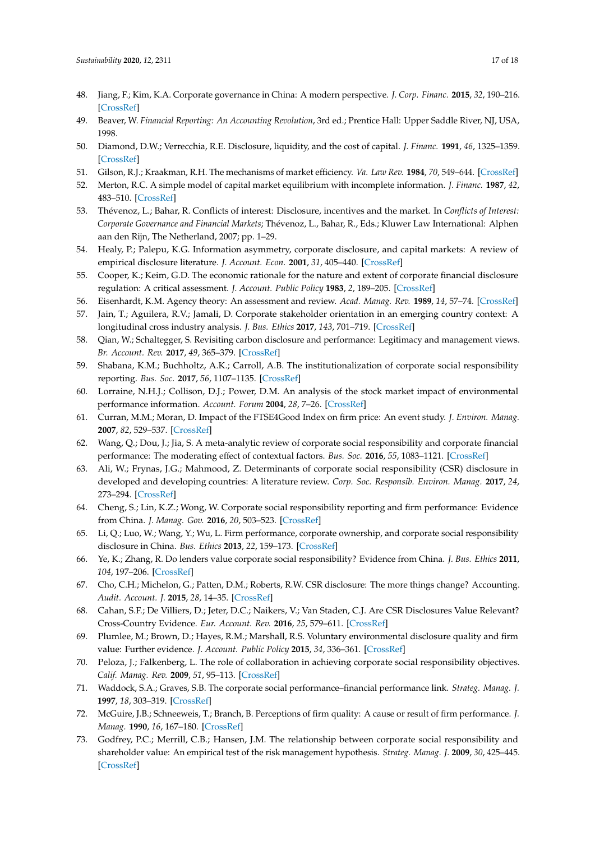- <span id="page-17-0"></span>48. Jiang, F.; Kim, K.A. Corporate governance in China: A modern perspective. *J. Corp. Financ.* **2015**, *32*, 190–216. [\[CrossRef\]](http://dx.doi.org/10.1016/j.jcorpfin.2014.10.010)
- <span id="page-17-1"></span>49. Beaver, W. *Financial Reporting: An Accounting Revolution*, 3rd ed.; Prentice Hall: Upper Saddle River, NJ, USA, 1998.
- <span id="page-17-2"></span>50. Diamond, D.W.; Verrecchia, R.E. Disclosure, liquidity, and the cost of capital. *J. Financ.* **1991**, *46*, 1325–1359. [\[CrossRef\]](http://dx.doi.org/10.1111/j.1540-6261.1991.tb04620.x)
- <span id="page-17-3"></span>51. Gilson, R.J.; Kraakman, R.H. The mechanisms of market efficiency. *Va. Law Rev.* **1984**, *70*, 549–644. [\[CrossRef\]](http://dx.doi.org/10.2307/1073080)
- <span id="page-17-4"></span>52. Merton, R.C. A simple model of capital market equilibrium with incomplete information. *J. Financ.* **1987**, *42*, 483–510. [\[CrossRef\]](http://dx.doi.org/10.1111/j.1540-6261.1987.tb04565.x)
- <span id="page-17-5"></span>53. Thévenoz, L.; Bahar, R. Conflicts of interest: Disclosure, incentives and the market. In *Conflicts of Interest: Corporate Governance and Financial Markets*; Thévenoz, L., Bahar, R., Eds.; Kluwer Law International: Alphen aan den Rijn, The Netherland, 2007; pp. 1–29.
- <span id="page-17-6"></span>54. Healy, P.; Palepu, K.G. Information asymmetry, corporate disclosure, and capital markets: A review of empirical disclosure literature. *J. Account. Econ.* **2001**, *31*, 405–440. [\[CrossRef\]](http://dx.doi.org/10.1016/S0165-4101(01)00018-0)
- <span id="page-17-7"></span>55. Cooper, K.; Keim, G.D. The economic rationale for the nature and extent of corporate financial disclosure regulation: A critical assessment. *J. Account. Public Policy* **1983**, *2*, 189–205. [\[CrossRef\]](http://dx.doi.org/10.1016/0278-4254(83)90024-8)
- <span id="page-17-8"></span>56. Eisenhardt, K.M. Agency theory: An assessment and review. *Acad. Manag. Rev.* **1989**, *14*, 57–74. [\[CrossRef\]](http://dx.doi.org/10.5465/amr.1989.4279003)
- <span id="page-17-9"></span>57. Jain, T.; Aguilera, R.V.; Jamali, D. Corporate stakeholder orientation in an emerging country context: A longitudinal cross industry analysis. *J. Bus. Ethics* **2017**, *143*, 701–719. [\[CrossRef\]](http://dx.doi.org/10.1007/s10551-016-3074-1)
- <span id="page-17-10"></span>58. Qian, W.; Schaltegger, S. Revisiting carbon disclosure and performance: Legitimacy and management views. *Br. Account. Rev.* **2017**, *49*, 365–379. [\[CrossRef\]](http://dx.doi.org/10.1016/j.bar.2017.05.005)
- <span id="page-17-11"></span>59. Shabana, K.M.; Buchholtz, A.K.; Carroll, A.B. The institutionalization of corporate social responsibility reporting. *Bus. Soc.* **2017**, *56*, 1107–1135. [\[CrossRef\]](http://dx.doi.org/10.1177/0007650316628177)
- <span id="page-17-12"></span>60. Lorraine, N.H.J.; Collison, D.J.; Power, D.M. An analysis of the stock market impact of environmental performance information. *Account. Forum* **2004**, *28*, 7–26. [\[CrossRef\]](http://dx.doi.org/10.1016/j.accfor.2004.04.002)
- <span id="page-17-13"></span>61. Curran, M.M.; Moran, D. Impact of the FTSE4Good Index on firm price: An event study. *J. Environ. Manag.* **2007**, *82*, 529–537. [\[CrossRef\]](http://dx.doi.org/10.1016/j.jenvman.2006.02.010)
- <span id="page-17-14"></span>62. Wang, Q.; Dou, J.; Jia, S. A meta-analytic review of corporate social responsibility and corporate financial performance: The moderating effect of contextual factors. *Bus. Soc.* **2016**, *55*, 1083–1121. [\[CrossRef\]](http://dx.doi.org/10.1177/0007650315584317)
- <span id="page-17-15"></span>63. Ali, W.; Frynas, J.G.; Mahmood, Z. Determinants of corporate social responsibility (CSR) disclosure in developed and developing countries: A literature review. *Corp. Soc. Responsib. Environ. Manag.* **2017**, *24*, 273–294. [\[CrossRef\]](http://dx.doi.org/10.1002/csr.1410)
- <span id="page-17-16"></span>64. Cheng, S.; Lin, K.Z.; Wong, W. Corporate social responsibility reporting and firm performance: Evidence from China. *J. Manag. Gov.* **2016**, *20*, 503–523. [\[CrossRef\]](http://dx.doi.org/10.1007/s10997-015-9309-1)
- <span id="page-17-17"></span>65. Li, Q.; Luo, W.; Wang, Y.; Wu, L. Firm performance, corporate ownership, and corporate social responsibility disclosure in China. *Bus. Ethics* **2013**, *22*, 159–173. [\[CrossRef\]](http://dx.doi.org/10.1111/beer.12013)
- <span id="page-17-18"></span>66. Ye, K.; Zhang, R. Do lenders value corporate social responsibility? Evidence from China. *J. Bus. Ethics* **2011**, *104*, 197–206. [\[CrossRef\]](http://dx.doi.org/10.1007/s10551-011-0898-6)
- <span id="page-17-19"></span>67. Cho, C.H.; Michelon, G.; Patten, D.M.; Roberts, R.W. CSR disclosure: The more things change? Accounting. *Audit. Account. J.* **2015**, *28*, 14–35. [\[CrossRef\]](http://dx.doi.org/10.1108/AAAJ-12-2013-1549)
- <span id="page-17-20"></span>68. Cahan, S.F.; De Villiers, D.; Jeter, D.C.; Naikers, V.; Van Staden, C.J. Are CSR Disclosures Value Relevant? Cross-Country Evidence. *Eur. Account. Rev.* **2016**, *25*, 579–611. [\[CrossRef\]](http://dx.doi.org/10.1080/09638180.2015.1064009)
- <span id="page-17-21"></span>69. Plumlee, M.; Brown, D.; Hayes, R.M.; Marshall, R.S. Voluntary environmental disclosure quality and firm value: Further evidence. *J. Account. Public Policy* **2015**, *34*, 336–361. [\[CrossRef\]](http://dx.doi.org/10.1016/j.jaccpubpol.2015.04.004)
- <span id="page-17-22"></span>70. Peloza, J.; Falkenberg, L. The role of collaboration in achieving corporate social responsibility objectives. *Calif. Manag. Rev.* **2009**, *51*, 95–113. [\[CrossRef\]](http://dx.doi.org/10.2307/41166495)
- <span id="page-17-23"></span>71. Waddock, S.A.; Graves, S.B. The corporate social performance–financial performance link. *Strateg. Manag. J.* **1997**, *18*, 303–319. [\[CrossRef\]](http://dx.doi.org/10.1002/(SICI)1097-0266(199704)18:4<303::AID-SMJ869>3.0.CO;2-G)
- <span id="page-17-24"></span>72. McGuire, J.B.; Schneeweis, T.; Branch, B. Perceptions of firm quality: A cause or result of firm performance. *J. Manag.* **1990**, *16*, 167–180. [\[CrossRef\]](http://dx.doi.org/10.1177/014920639001600112)
- <span id="page-17-25"></span>73. Godfrey, P.C.; Merrill, C.B.; Hansen, J.M. The relationship between corporate social responsibility and shareholder value: An empirical test of the risk management hypothesis. *Strateg. Manag. J.* **2009**, *30*, 425–445. [\[CrossRef\]](http://dx.doi.org/10.1002/smj.750)